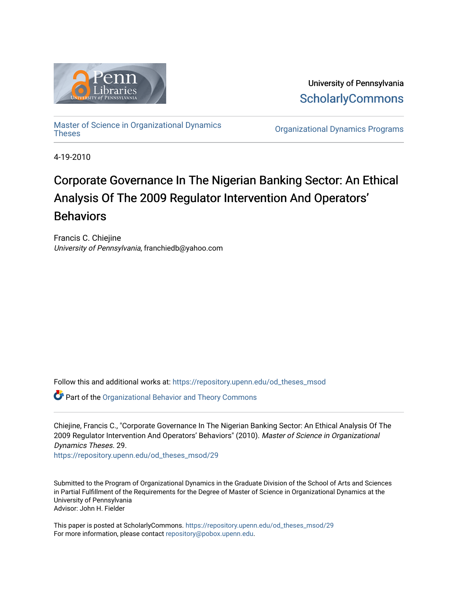

University of Pennsylvania **ScholarlyCommons** 

[Master of Science in Organizational Dynamics](https://repository.upenn.edu/od_theses_msod)

**Organizational Dynamics Programs** 

4-19-2010

# Corporate Governance In The Nigerian Banking Sector: An Ethical Analysis Of The 2009 Regulator Intervention And Operators' **Behaviors**

Francis C. Chiejine University of Pennsylvania, franchiedb@yahoo.com

Follow this and additional works at: [https://repository.upenn.edu/od\\_theses\\_msod](https://repository.upenn.edu/od_theses_msod?utm_source=repository.upenn.edu%2Fod_theses_msod%2F29&utm_medium=PDF&utm_campaign=PDFCoverPages) 

Part of the [Organizational Behavior and Theory Commons](http://network.bepress.com/hgg/discipline/639?utm_source=repository.upenn.edu%2Fod_theses_msod%2F29&utm_medium=PDF&utm_campaign=PDFCoverPages) 

Chiejine, Francis C., "Corporate Governance In The Nigerian Banking Sector: An Ethical Analysis Of The 2009 Regulator Intervention And Operators' Behaviors" (2010). Master of Science in Organizational Dynamics Theses. 29.

[https://repository.upenn.edu/od\\_theses\\_msod/29](https://repository.upenn.edu/od_theses_msod/29?utm_source=repository.upenn.edu%2Fod_theses_msod%2F29&utm_medium=PDF&utm_campaign=PDFCoverPages)

Submitted to the Program of Organizational Dynamics in the Graduate Division of the School of Arts and Sciences in Partial Fulfillment of the Requirements for the Degree of Master of Science in Organizational Dynamics at the University of Pennsylvania Advisor: John H. Fielder

This paper is posted at ScholarlyCommons. [https://repository.upenn.edu/od\\_theses\\_msod/29](https://repository.upenn.edu/od_theses_msod/29)  For more information, please contact [repository@pobox.upenn.edu.](mailto:repository@pobox.upenn.edu)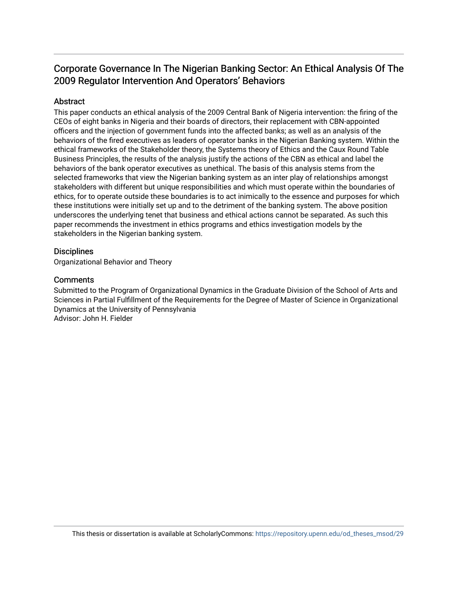# Corporate Governance In The Nigerian Banking Sector: An Ethical Analysis Of The 2009 Regulator Intervention And Operators' Behaviors

## **Abstract**

This paper conducts an ethical analysis of the 2009 Central Bank of Nigeria intervention: the firing of the CEOs of eight banks in Nigeria and their boards of directors, their replacement with CBN-appointed officers and the injection of government funds into the affected banks; as well as an analysis of the behaviors of the fired executives as leaders of operator banks in the Nigerian Banking system. Within the ethical frameworks of the Stakeholder theory, the Systems theory of Ethics and the Caux Round Table Business Principles, the results of the analysis justify the actions of the CBN as ethical and label the behaviors of the bank operator executives as unethical. The basis of this analysis stems from the selected frameworks that view the Nigerian banking system as an inter play of relationships amongst stakeholders with different but unique responsibilities and which must operate within the boundaries of ethics, for to operate outside these boundaries is to act inimically to the essence and purposes for which these institutions were initially set up and to the detriment of the banking system. The above position underscores the underlying tenet that business and ethical actions cannot be separated. As such this paper recommends the investment in ethics programs and ethics investigation models by the stakeholders in the Nigerian banking system.

### **Disciplines**

Organizational Behavior and Theory

### **Comments**

Submitted to the Program of Organizational Dynamics in the Graduate Division of the School of Arts and Sciences in Partial Fulfillment of the Requirements for the Degree of Master of Science in Organizational Dynamics at the University of Pennsylvania Advisor: John H. Fielder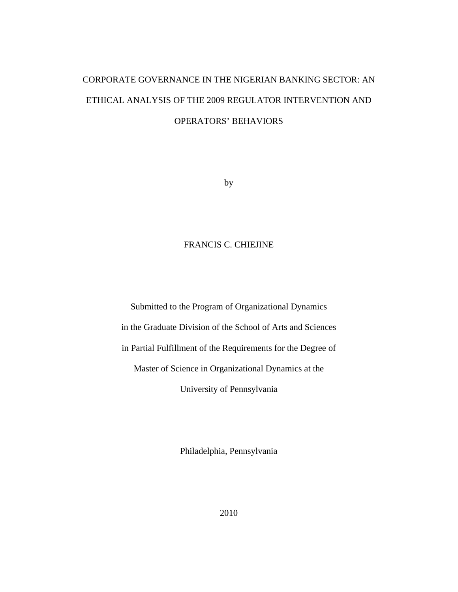# CORPORATE GOVERNANCE IN THE NIGERIAN BANKING SECTOR: AN ETHICAL ANALYSIS OF THE 2009 REGULATOR INTERVENTION AND OPERATORS' BEHAVIORS

by

## FRANCIS C. CHIEJINE

Submitted to the Program of Organizational Dynamics in the Graduate Division of the School of Arts and Sciences in Partial Fulfillment of the Requirements for the Degree of Master of Science in Organizational Dynamics at the University of Pennsylvania

Philadelphia, Pennsylvania

2010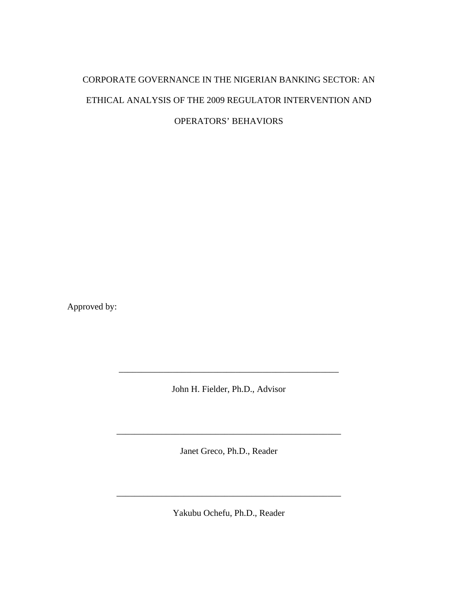# CORPORATE GOVERNANCE IN THE NIGERIAN BANKING SECTOR: AN ETHICAL ANALYSIS OF THE 2009 REGULATOR INTERVENTION AND OPERATORS' BEHAVIORS

Approved by:

John H. Fielder, Ph.D., Advisor

Janet Greco, Ph.D., Reader

\_\_\_\_\_\_\_\_\_\_\_\_\_\_\_\_\_\_\_\_\_\_\_\_\_\_\_\_\_\_\_\_\_\_\_\_\_\_\_\_\_\_\_\_\_\_\_\_\_\_

Yakubu Ochefu, Ph.D., Reader

\_\_\_\_\_\_\_\_\_\_\_\_\_\_\_\_\_\_\_\_\_\_\_\_\_\_\_\_\_\_\_\_\_\_\_\_\_\_\_\_\_\_\_\_\_\_\_\_\_\_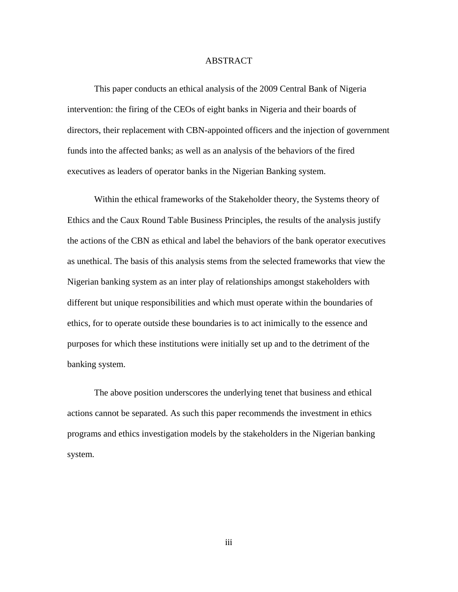#### ABSTRACT

This paper conducts an ethical analysis of the 2009 Central Bank of Nigeria intervention: the firing of the CEOs of eight banks in Nigeria and their boards of directors, their replacement with CBN-appointed officers and the injection of government funds into the affected banks; as well as an analysis of the behaviors of the fired executives as leaders of operator banks in the Nigerian Banking system.

Within the ethical frameworks of the Stakeholder theory, the Systems theory of Ethics and the Caux Round Table Business Principles, the results of the analysis justify the actions of the CBN as ethical and label the behaviors of the bank operator executives as unethical. The basis of this analysis stems from the selected frameworks that view the Nigerian banking system as an inter play of relationships amongst stakeholders with different but unique responsibilities and which must operate within the boundaries of ethics, for to operate outside these boundaries is to act inimically to the essence and purposes for which these institutions were initially set up and to the detriment of the banking system.

The above position underscores the underlying tenet that business and ethical actions cannot be separated. As such this paper recommends the investment in ethics programs and ethics investigation models by the stakeholders in the Nigerian banking system.

iii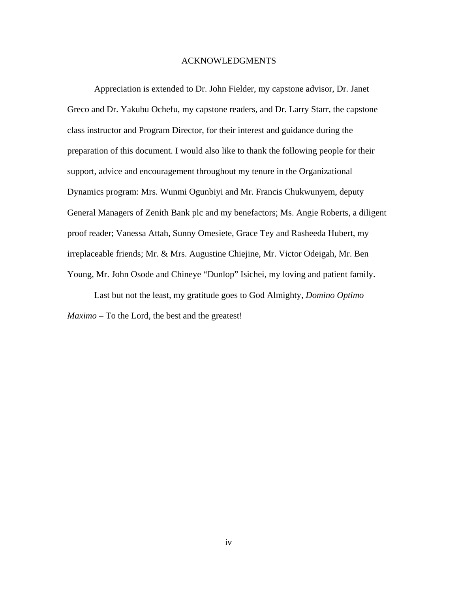#### ACKNOWLEDGMENTS

Appreciation is extended to Dr. John Fielder, my capstone advisor, Dr. Janet Greco and Dr. Yakubu Ochefu, my capstone readers, and Dr. Larry Starr, the capstone class instructor and Program Director, for their interest and guidance during the preparation of this document. I would also like to thank the following people for their support, advice and encouragement throughout my tenure in the Organizational Dynamics program: Mrs. Wunmi Ogunbiyi and Mr. Francis Chukwunyem, deputy General Managers of Zenith Bank plc and my benefactors; Ms. Angie Roberts, a diligent proof reader; Vanessa Attah, Sunny Omesiete, Grace Tey and Rasheeda Hubert, my irreplaceable friends; Mr. & Mrs. Augustine Chiejine, Mr. Victor Odeigah, Mr. Ben Young, Mr. John Osode and Chineye "Dunlop" Isichei, my loving and patient family.

 Last but not the least, my gratitude goes to God Almighty, *Domino Optimo Maximo* – To the Lord, the best and the greatest!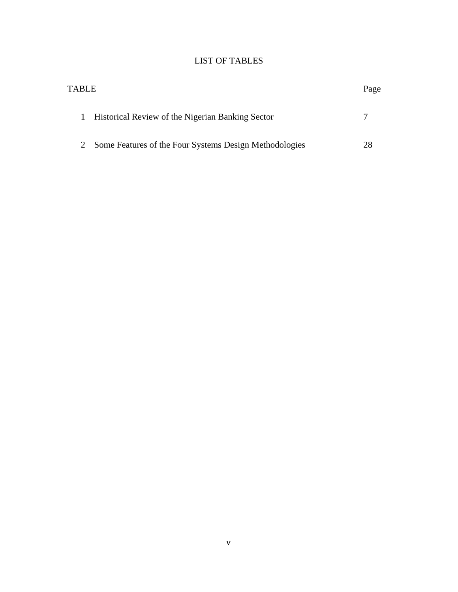## LIST OF TABLES

| <b>TABLE</b>                                                     | Page |
|------------------------------------------------------------------|------|
| Historical Review of the Nigerian Banking Sector<br>$\mathbf{I}$ |      |
| Some Features of the Four Systems Design Methodologies           | 28   |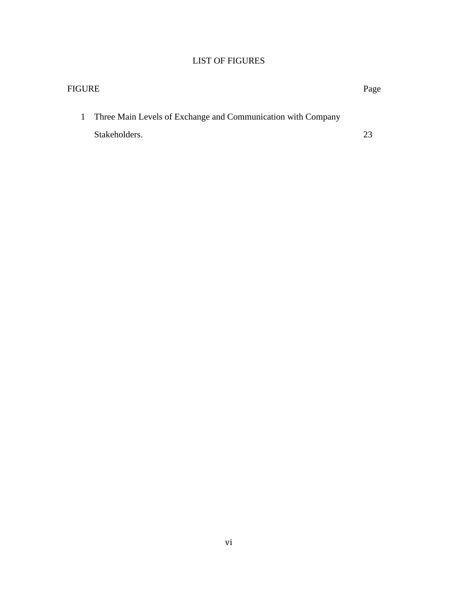## LIST OF FIGURES

| FIGURE                                                         |    |  |  |  |
|----------------------------------------------------------------|----|--|--|--|
| 1 Three Main Levels of Exchange and Communication with Company |    |  |  |  |
| Stakeholders.                                                  | つく |  |  |  |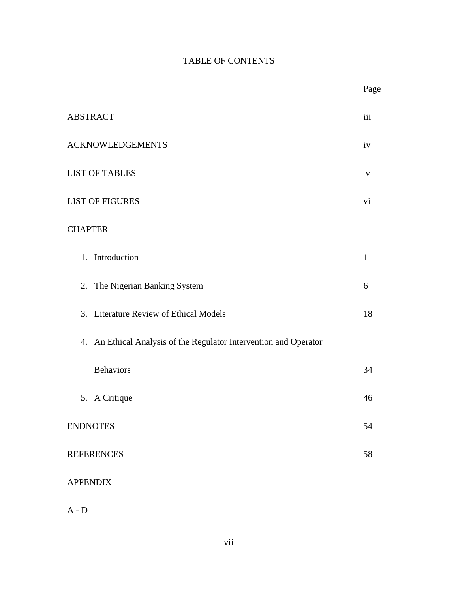## TABLE OF CONTENTS

|                                                                   | Page         |  |  |  |
|-------------------------------------------------------------------|--------------|--|--|--|
| <b>ABSTRACT</b>                                                   |              |  |  |  |
| <b>ACKNOWLEDGEMENTS</b>                                           |              |  |  |  |
| <b>LIST OF TABLES</b>                                             |              |  |  |  |
| <b>LIST OF FIGURES</b>                                            |              |  |  |  |
| <b>CHAPTER</b>                                                    |              |  |  |  |
| 1. Introduction                                                   | $\mathbf{1}$ |  |  |  |
| 2. The Nigerian Banking System                                    | 6            |  |  |  |
| 3. Literature Review of Ethical Models                            | 18           |  |  |  |
| 4. An Ethical Analysis of the Regulator Intervention and Operator |              |  |  |  |
| <b>Behaviors</b>                                                  | 34           |  |  |  |
| 5. A Critique                                                     | 46           |  |  |  |
| <b>ENDNOTES</b>                                                   |              |  |  |  |
| <b>REFERENCES</b>                                                 |              |  |  |  |
| <b>APPENDIX</b>                                                   |              |  |  |  |

A - D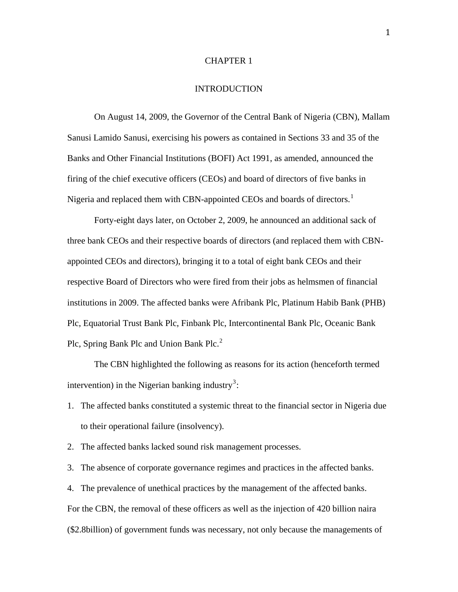#### CHAPTER 1

#### INTRODUCTION

On August 14, 2009, the Governor of the Central Bank of Nigeria (CBN), Mallam Sanusi Lamido Sanusi, exercising his powers as contained in Sections 33 and 35 of the Banks and Other Financial Institutions (BOFI) Act 1991, as amended, announced the firing of the chief executive officers (CEOs) and board of directors of five banks in Nigeria and replaced them with CBN-appointed CEOs and boards of directors.<sup>[1](#page-62-0)</sup>

Forty-eight days later, on October 2, 2009, he announced an additional sack of three bank CEOs and their respective boards of directors (and replaced them with CBNappointed CEOs and directors), bringing it to a total of eight bank CEOs and their respective Board of Directors who were fired from their jobs as helmsmen of financial institutions in 2009. The affected banks were Afribank Plc, Platinum Habib Bank (PHB) Plc, Equatorial Trust Bank Plc, Finbank Plc, Intercontinental Bank Plc, Oceanic Bank Plc, Spring Bank Plc and Union Bank Plc.<sup>[2](#page-62-1)</sup>

The CBN highlighted the following as reasons for its action (henceforth termed intervention) in the Nigerian banking industry<sup>[3](#page-62-2)</sup>:

- 1. The affected banks constituted a systemic threat to the financial sector in Nigeria due to their operational failure (insolvency).
- 2. The affected banks lacked sound risk management processes.

3. The absence of corporate governance regimes and practices in the affected banks.

4. The prevalence of unethical practices by the management of the affected banks.

For the CBN, the removal of these officers as well as the injection of 420 billion naira

(\$2.8billion) of government funds was necessary, not only because the managements of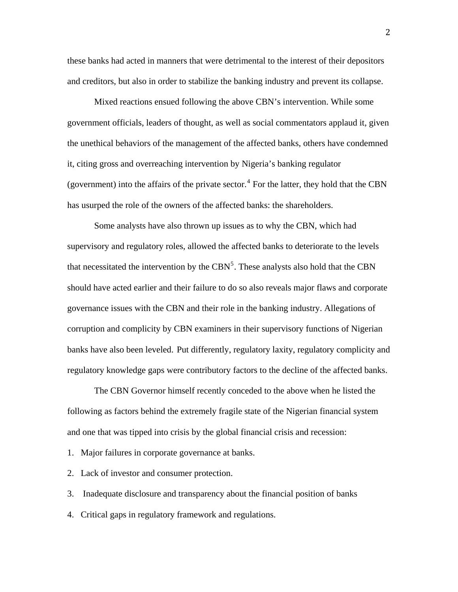these banks had acted in manners that were detrimental to the interest of their depositors and creditors, but also in order to stabilize the banking industry and prevent its collapse.

Mixed reactions ensued following the above CBN's intervention. While some government officials, leaders of thought, as well as social commentators applaud it, given the unethical behaviors of the management of the affected banks, others have condemned it, citing gross and overreaching intervention by Nigeria's banking regulator (government) into the affairs of the private sector.<sup>[4](#page-62-3)</sup> For the latter, they hold that the CBN has usurped the role of the owners of the affected banks: the shareholders.

Some analysts have also thrown up issues as to why the CBN, which had supervisory and regulatory roles, allowed the affected banks to deteriorate to the levels that necessitated the intervention by the CBN<sup>[5](#page-62-4)</sup>. These analysts also hold that the CBN should have acted earlier and their failure to do so also reveals major flaws and corporate governance issues with the CBN and their role in the banking industry. Allegations of corruption and complicity by CBN examiners in their supervisory functions of Nigerian banks have also been leveled. Put differently, regulatory laxity, regulatory complicity and regulatory knowledge gaps were contributory factors to the decline of the affected banks.

The CBN Governor himself recently conceded to the above when he listed the following as factors behind the extremely fragile state of the Nigerian financial system and one that was tipped into crisis by the global financial crisis and recession:

1. Major failures in corporate governance at banks.

2. Lack of investor and consumer protection.

3. Inadequate disclosure and transparency about the financial position of banks

4. Critical gaps in regulatory framework and regulations.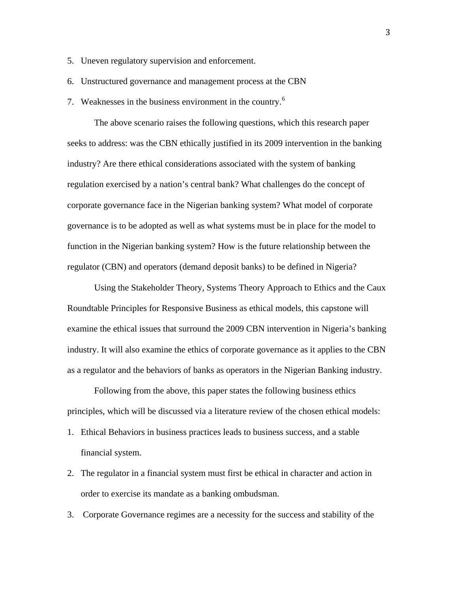- 5. Uneven regulatory supervision and enforcement.
- 6. Unstructured governance and management process at the CBN
- 7. Weaknesses in the business environment in the country.<sup>[6](#page-62-5)</sup>

The above scenario raises the following questions, which this research paper seeks to address: was the CBN ethically justified in its 2009 intervention in the banking industry? Are there ethical considerations associated with the system of banking regulation exercised by a nation's central bank? What challenges do the concept of corporate governance face in the Nigerian banking system? What model of corporate governance is to be adopted as well as what systems must be in place for the model to function in the Nigerian banking system? How is the future relationship between the regulator (CBN) and operators (demand deposit banks) to be defined in Nigeria?

Using the Stakeholder Theory, Systems Theory Approach to Ethics and the Caux Roundtable Principles for Responsive Business as ethical models, this capstone will examine the ethical issues that surround the 2009 CBN intervention in Nigeria's banking industry. It will also examine the ethics of corporate governance as it applies to the CBN as a regulator and the behaviors of banks as operators in the Nigerian Banking industry.

Following from the above, this paper states the following business ethics principles, which will be discussed via a literature review of the chosen ethical models:

- 1. Ethical Behaviors in business practices leads to business success, and a stable financial system.
- 2. The regulator in a financial system must first be ethical in character and action in order to exercise its mandate as a banking ombudsman.
- 3. Corporate Governance regimes are a necessity for the success and stability of the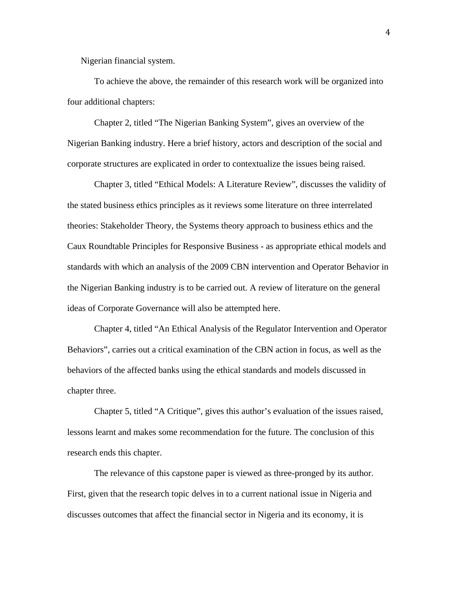Nigerian financial system.

To achieve the above, the remainder of this research work will be organized into four additional chapters:

 Chapter 2, titled "The Nigerian Banking System", gives an overview of the Nigerian Banking industry. Here a brief history, actors and description of the social and corporate structures are explicated in order to contextualize the issues being raised.

Chapter 3, titled "Ethical Models: A Literature Review", discusses the validity of the stated business ethics principles as it reviews some literature on three interrelated theories: Stakeholder Theory, the Systems theory approach to business ethics and the Caux Roundtable Principles for Responsive Business - as appropriate ethical models and standards with which an analysis of the 2009 CBN intervention and Operator Behavior in the Nigerian Banking industry is to be carried out. A review of literature on the general ideas of Corporate Governance will also be attempted here.

Chapter 4, titled "An Ethical Analysis of the Regulator Intervention and Operator Behaviors", carries out a critical examination of the CBN action in focus, as well as the behaviors of the affected banks using the ethical standards and models discussed in chapter three.

Chapter 5, titled "A Critique", gives this author's evaluation of the issues raised, lessons learnt and makes some recommendation for the future. The conclusion of this research ends this chapter.

The relevance of this capstone paper is viewed as three-pronged by its author. First, given that the research topic delves in to a current national issue in Nigeria and discusses outcomes that affect the financial sector in Nigeria and its economy, it is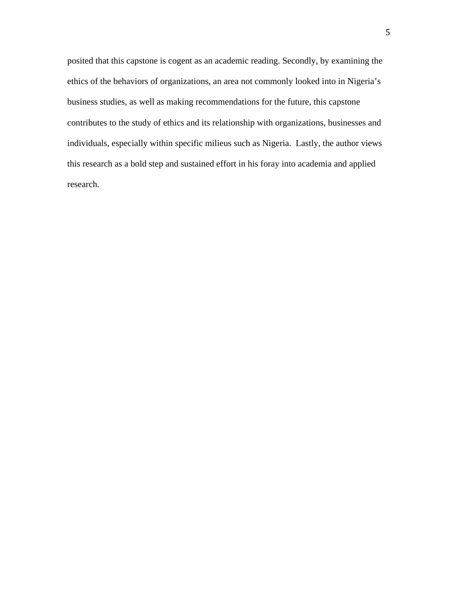posited that this capstone is cogent as an academic reading. Secondly, by examining the ethics of the behaviors of organizations, an area not commonly looked into in Nigeria's business studies, as well as making recommendations for the future, this capstone contributes to the study of ethics and its relationship with organizations, businesses and individuals, especially within specific milieus such as Nigeria. Lastly, the author views this research as a bold step and sustained effort in his foray into academia and applied research.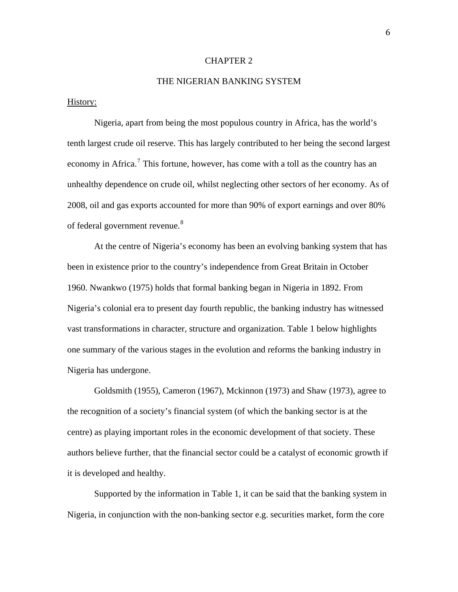#### CHAPTER 2

### THE NIGERIAN BANKING SYSTEM

#### History:

Nigeria, apart from being the most populous country in Africa, has the world's tenth largest crude oil reserve. This has largely contributed to her being the second largest economy in Africa.<sup>[7](#page-62-6)</sup> This fortune, however, has come with a toll as the country has an unhealthy dependence on crude oil, whilst neglecting other sectors of her economy. As of 2008, oil and gas exports accounted for more than 90% of export earnings and over 80% of federal government revenue.<sup>[8](#page-62-7)</sup>

At the centre of Nigeria's economy has been an evolving banking system that has been in existence prior to the country's independence from Great Britain in October 1960. Nwankwo (1975) holds that formal banking began in Nigeria in 1892. From Nigeria's colonial era to present day fourth republic, the banking industry has witnessed vast transformations in character, structure and organization. Table 1 below highlights one summary of the various stages in the evolution and reforms the banking industry in Nigeria has undergone.

Goldsmith (1955), Cameron (1967), Mckinnon (1973) and Shaw (1973), agree to the recognition of a society's financial system (of which the banking sector is at the centre) as playing important roles in the economic development of that society. These authors believe further, that the financial sector could be a catalyst of economic growth if it is developed and healthy.

Supported by the information in Table 1, it can be said that the banking system in Nigeria, in conjunction with the non-banking sector e.g. securities market, form the core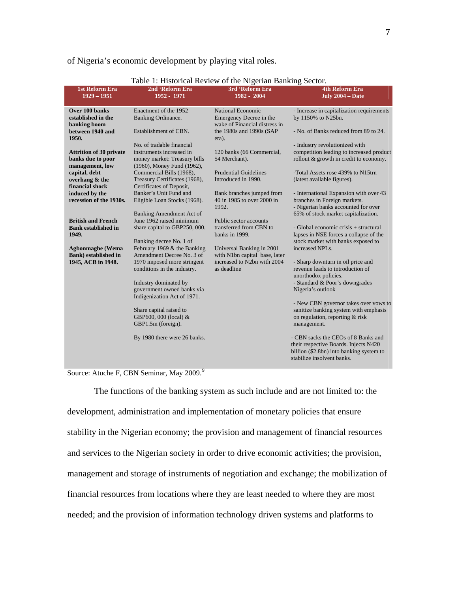|                                                                                                                                                                                                                                                                                                                                                                                                                    | Table 1: Historical Review of the Nigerian Banking Sector.                                                                                                                                                                                                                                                                                                                                                                                                                                                                                                                                     |                                                                                                                                                                                                                                                                                                                                                                                                                                                                                       |                                                                                                                                                                                                                                                                                                                                                                                                                                                                                                                                                                                                                                                                                                |
|--------------------------------------------------------------------------------------------------------------------------------------------------------------------------------------------------------------------------------------------------------------------------------------------------------------------------------------------------------------------------------------------------------------------|------------------------------------------------------------------------------------------------------------------------------------------------------------------------------------------------------------------------------------------------------------------------------------------------------------------------------------------------------------------------------------------------------------------------------------------------------------------------------------------------------------------------------------------------------------------------------------------------|---------------------------------------------------------------------------------------------------------------------------------------------------------------------------------------------------------------------------------------------------------------------------------------------------------------------------------------------------------------------------------------------------------------------------------------------------------------------------------------|------------------------------------------------------------------------------------------------------------------------------------------------------------------------------------------------------------------------------------------------------------------------------------------------------------------------------------------------------------------------------------------------------------------------------------------------------------------------------------------------------------------------------------------------------------------------------------------------------------------------------------------------------------------------------------------------|
| <b>1st Reform Era</b><br>$1929 - 1951$                                                                                                                                                                                                                                                                                                                                                                             | 2nd 'Reform Era<br>1952 - 1971                                                                                                                                                                                                                                                                                                                                                                                                                                                                                                                                                                 | 3rd 'Reform Era<br>1982 - 2004                                                                                                                                                                                                                                                                                                                                                                                                                                                        | <b>4th Reform Era</b><br>July $2004 - Date$                                                                                                                                                                                                                                                                                                                                                                                                                                                                                                                                                                                                                                                    |
| Over 100 banks<br>established in the<br>banking boom<br>between 1940 and<br>1950.<br><b>Attrition of 30 private</b><br>banks due to poor<br>management, low<br>capital, debt<br>overhang & the<br>financial shock<br>induced by the<br>recession of the 1930s.<br><b>British and French</b><br><b>Bank established in</b><br>1949.<br><b>Agbonmagbe (Wema</b><br><b>Bank)</b> established in<br>1945, ACB in 1948. | Enactment of the 1952<br>Banking Ordinance.<br>Establishment of CBN.<br>No. of tradable financial<br>instruments increased in<br>money market: Treasury bills<br>(1960), Money Fund (1962),<br>Commercial Bills (1968),<br>Treasury Certificates (1968),<br>Certificates of Deposit,<br>Banker's Unit Fund and<br>Eligible Loan Stocks (1968).<br>Banking Amendment Act of<br>June 1962 raised minimum<br>share capital to GBP250, 000.<br>Banking decree No. 1 of<br>February 1969 $&$ the Banking<br>Amendment Decree No. 3 of<br>1970 imposed more stringent<br>conditions in the industry. | <b>National Economic</b><br>Emergency Decree in the<br>wake of Financial distress in<br>the 1980s and 1990s (SAP<br>era).<br>120 banks (66 Commercial,<br>54 Merchant).<br><b>Prudential Guidelines</b><br>Introduced in 1990.<br>Bank branches jumped from<br>40 in 1985 to over 2000 in<br>1992.<br>Public sector accounts<br>transferred from CBN to<br>banks in 1999.<br>Universal Banking in 2001<br>with N1bn capital base, later<br>increased to N2bn with 2004<br>as deadline | - Increase in capitalization requirements<br>by 1150% to N25bn.<br>- No. of Banks reduced from 89 to 24.<br>- Industry revolutionized with<br>competition leading to increased product<br>rollout & growth in credit to economy.<br>-Total Assets rose 439% to N15trn<br>(latest available figures).<br>- International Expansion with over 43<br>branches in Foreign markets.<br>- Nigerian banks accounted for over<br>65% of stock market capitalization.<br>- Global economic crisis + structural<br>lapses in NSE forces a collapse of the<br>stock market with banks exposed to<br>increased NPL <sub>s</sub> .<br>- Sharp downturn in oil price and<br>revenue leads to introduction of |
|                                                                                                                                                                                                                                                                                                                                                                                                                    | Industry dominated by<br>government owned banks via<br>Indigenization Act of 1971.<br>Share capital raised to<br>GBP600, 000 (local) &<br>GBP1.5m (foreign).<br>By 1980 there were 26 banks.                                                                                                                                                                                                                                                                                                                                                                                                   |                                                                                                                                                                                                                                                                                                                                                                                                                                                                                       | unorthodox policies.<br>- Standard & Poor's downgrades<br>Nigeria's outlook<br>- New CBN governor takes over vows to<br>sanitize banking system with emphasis<br>on regulation, reporting & risk<br>management.<br>- CBN sacks the CEOs of 8 Banks and<br>their respective Boards. Injects N420<br>billion (\$2.8bn) into banking system to<br>stabilize insolvent banks.                                                                                                                                                                                                                                                                                                                      |

#### of Nigeria's economic development by playing vital roles.

Table 1: Historical Review of the Nigerian Banking Sector.

Source: Atuche F, CBN Seminar, May 200[9](#page-62-8).<sup>9</sup>

The functions of the banking system as such include and are not limited to: the development, administration and implementation of monetary policies that ensure stability in the Nigerian economy; the provision and management of financial resources and services to the Nigerian society in order to drive economic activities; the provision, management and storage of instruments of negotiation and exchange; the mobilization of financial resources from locations where they are least needed to where they are most needed; and the provision of information technology driven systems and platforms to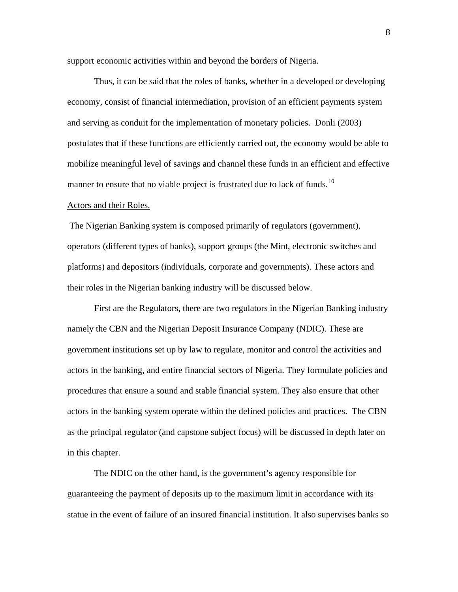support economic activities within and beyond the borders of Nigeria.

Thus, it can be said that the roles of banks, whether in a developed or developing economy, consist of financial intermediation, provision of an efficient payments system and serving as conduit for the implementation of monetary policies. Donli (2003) postulates that if these functions are efficiently carried out, the economy would be able to mobilize meaningful level of savings and channel these funds in an efficient and effective manner to ensure that no viable project is frustrated due to lack of funds.<sup>[10](#page-62-9)</sup>

#### Actors and their Roles.

 The Nigerian Banking system is composed primarily of regulators (government), operators (different types of banks), support groups (the Mint, electronic switches and platforms) and depositors (individuals, corporate and governments). These actors and their roles in the Nigerian banking industry will be discussed below.

First are the Regulators, there are two regulators in the Nigerian Banking industry namely the CBN and the Nigerian Deposit Insurance Company (NDIC). These are government institutions set up by law to regulate, monitor and control the activities and actors in the banking, and entire financial sectors of Nigeria. They formulate policies and procedures that ensure a sound and stable financial system. They also ensure that other actors in the banking system operate within the defined policies and practices. The CBN as the principal regulator (and capstone subject focus) will be discussed in depth later on in this chapter.

The NDIC on the other hand, is the government's agency responsible for guaranteeing the payment of deposits up to the maximum limit in accordance with its statue in the event of failure of an insured financial institution. It also supervises banks so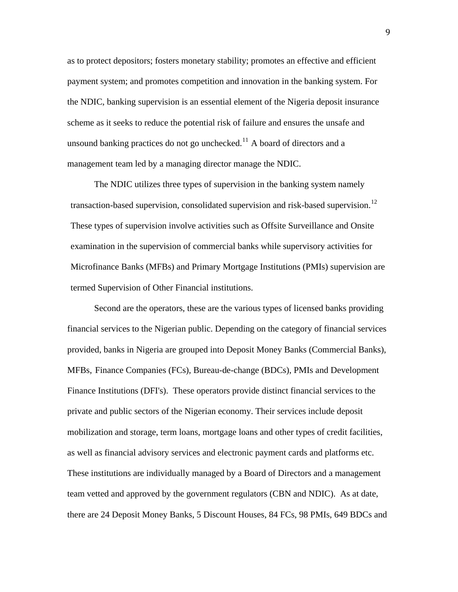as to protect depositors; fosters monetary stability; promotes an effective and efficient payment system; and promotes competition and innovation in the banking system. For the NDIC, banking supervision is an essential element of the Nigeria deposit insurance scheme as it seeks to reduce the potential risk of failure and ensures the unsafe and unsound banking practices do not go unchecked.<sup>[11](#page-62-10)</sup> A board of directors and a management team led by a managing director manage the NDIC.

The NDIC utilizes three types of supervision in the banking system namely transaction-based supervision, consolidated supervision and risk-based supervision.<sup>[12](#page-62-11)</sup> These types of supervision involve activities such as Offsite Surveillance and Onsite examination in the supervision of commercial banks while supervisory activities for Microfinance Banks (MFBs) and Primary Mortgage Institutions (PMIs) supervision are termed Supervision of Other Financial institutions.

Second are the operators, these are the various types of licensed banks providing financial services to the Nigerian public. Depending on the category of financial services provided, banks in Nigeria are grouped into Deposit Money Banks (Commercial Banks), MFBs, Finance Companies (FCs), Bureau-de-change (BDCs), PMIs and Development Finance Institutions (DFI's). These operators provide distinct financial services to the private and public sectors of the Nigerian economy. Their services include deposit mobilization and storage, term loans, mortgage loans and other types of credit facilities, as well as financial advisory services and electronic payment cards and platforms etc. These institutions are individually managed by a Board of Directors and a management team vetted and approved by the government regulators (CBN and NDIC). As at date, there are 24 Deposit Money Banks, 5 Discount Houses, 84 FCs, 98 PMIs, 649 BDCs and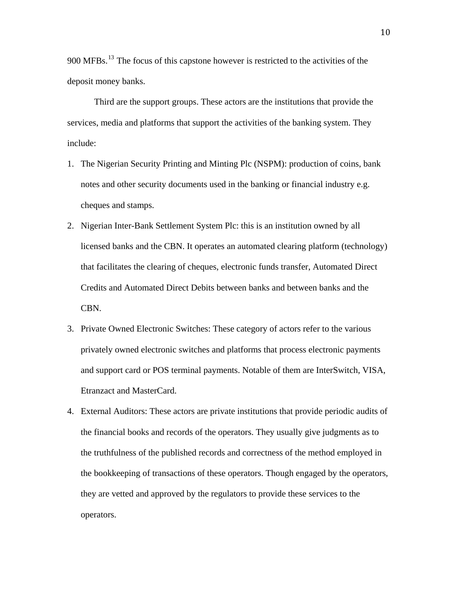900 MFBs.<sup>[13](#page-63-0)</sup> The focus of this capstone however is restricted to the activities of the deposit money banks.

Third are the support groups. These actors are the institutions that provide the services, media and platforms that support the activities of the banking system. They include:

- 1. The Nigerian Security Printing and Minting Plc (NSPM): production of coins, bank notes and other security documents used in the banking or financial industry e.g. cheques and stamps.
- 2. Nigerian Inter-Bank Settlement System Plc: this is an institution owned by all licensed banks and the CBN. It operates an automated clearing platform (technology) that facilitates the clearing of cheques, electronic funds transfer, Automated Direct Credits and Automated Direct Debits between banks and between banks and the CBN.
- 3. Private Owned Electronic Switches: These category of actors refer to the various privately owned electronic switches and platforms that process electronic payments and support card or POS terminal payments. Notable of them are InterSwitch, VISA, Etranzact and MasterCard.
- 4. External Auditors: These actors are private institutions that provide periodic audits of the financial books and records of the operators. They usually give judgments as to the truthfulness of the published records and correctness of the method employed in the bookkeeping of transactions of these operators. Though engaged by the operators, they are vetted and approved by the regulators to provide these services to the operators.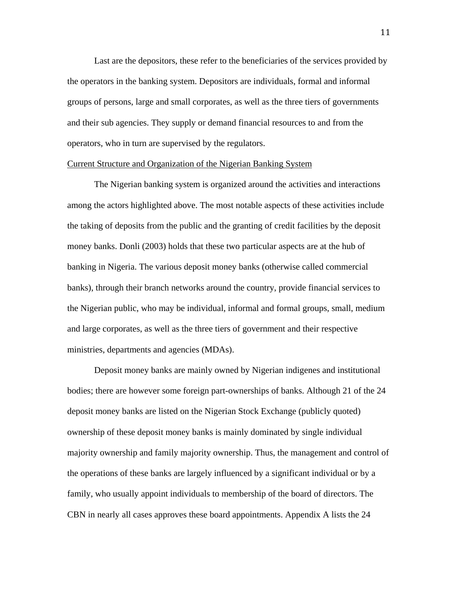Last are the depositors, these refer to the beneficiaries of the services provided by the operators in the banking system. Depositors are individuals, formal and informal groups of persons, large and small corporates, as well as the three tiers of governments and their sub agencies. They supply or demand financial resources to and from the operators, who in turn are supervised by the regulators.

#### Current Structure and Organization of the Nigerian Banking System

The Nigerian banking system is organized around the activities and interactions among the actors highlighted above. The most notable aspects of these activities include the taking of deposits from the public and the granting of credit facilities by the deposit money banks. Donli (2003) holds that these two particular aspects are at the hub of banking in Nigeria. The various deposit money banks (otherwise called commercial banks), through their branch networks around the country, provide financial services to the Nigerian public, who may be individual, informal and formal groups, small, medium and large corporates, as well as the three tiers of government and their respective ministries, departments and agencies (MDAs).

Deposit money banks are mainly owned by Nigerian indigenes and institutional bodies; there are however some foreign part-ownerships of banks. Although 21 of the 24 deposit money banks are listed on the Nigerian Stock Exchange (publicly quoted) ownership of these deposit money banks is mainly dominated by single individual majority ownership and family majority ownership. Thus, the management and control of the operations of these banks are largely influenced by a significant individual or by a family, who usually appoint individuals to membership of the board of directors. The CBN in nearly all cases approves these board appointments. Appendix A lists the 24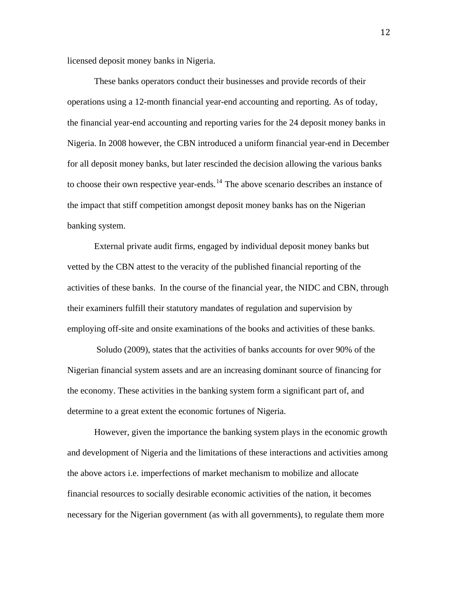licensed deposit money banks in Nigeria.

These banks operators conduct their businesses and provide records of their operations using a 12-month financial year-end accounting and reporting. As of today, the financial year-end accounting and reporting varies for the 24 deposit money banks in Nigeria. In 2008 however, the CBN introduced a uniform financial year-end in December for all deposit money banks, but later rescinded the decision allowing the various banks to choose their own respective year-ends.<sup>[14](#page-63-1)</sup> The above scenario describes an instance of the impact that stiff competition amongst deposit money banks has on the Nigerian banking system.

External private audit firms, engaged by individual deposit money banks but vetted by the CBN attest to the veracity of the published financial reporting of the activities of these banks. In the course of the financial year, the NIDC and CBN, through their examiners fulfill their statutory mandates of regulation and supervision by employing off-site and onsite examinations of the books and activities of these banks.

 Soludo (2009), states that the activities of banks accounts for over 90% of the Nigerian financial system assets and are an increasing dominant source of financing for the economy. These activities in the banking system form a significant part of, and determine to a great extent the economic fortunes of Nigeria.

However, given the importance the banking system plays in the economic growth and development of Nigeria and the limitations of these interactions and activities among the above actors i.e. imperfections of market mechanism to mobilize and allocate financial resources to socially desirable economic activities of the nation, it becomes necessary for the Nigerian government (as with all governments), to regulate them more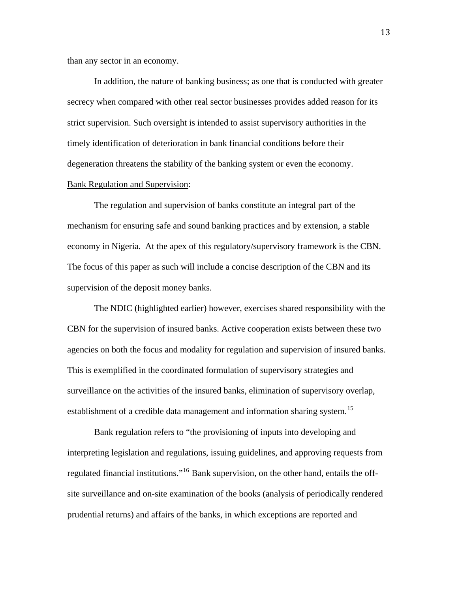than any sector in an economy.

In addition, the nature of banking business; as one that is conducted with greater secrecy when compared with other real sector businesses provides added reason for its strict supervision. Such oversight is intended to assist supervisory authorities in the timely identification of deterioration in bank financial conditions before their degeneration threatens the stability of the banking system or even the economy. Bank Regulation and Supervision:

The regulation and supervision of banks constitute an integral part of the mechanism for ensuring safe and sound banking practices and by extension, a stable economy in Nigeria. At the apex of this regulatory/supervisory framework is the CBN. The focus of this paper as such will include a concise description of the CBN and its supervision of the deposit money banks.

The NDIC (highlighted earlier) however, exercises shared responsibility with the CBN for the supervision of insured banks. Active cooperation exists between these two agencies on both the focus and modality for regulation and supervision of insured banks. This is exemplified in the coordinated formulation of supervisory strategies and surveillance on the activities of the insured banks, elimination of supervisory overlap, establishment of a credible data management and information sharing system.<sup>[15](#page-63-2)</sup>

Bank regulation refers to "the provisioning of inputs into developing and interpreting legislation and regulations, issuing guidelines, and approving requests from regulated financial institutions."[16](#page-63-3) Bank supervision, on the other hand, entails the offsite surveillance and on-site examination of the books (analysis of periodically render ed prudential returns) and affairs of the banks, in which exceptions are reported and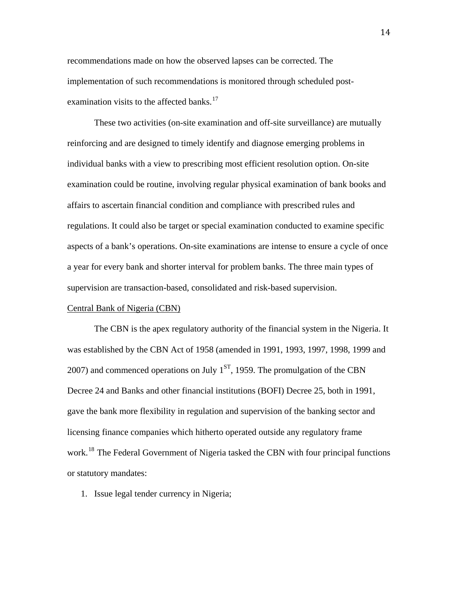recommendations made on how the observed lapses can be corrected. The implementation of such recommendations is monitored through scheduled postexamination visits to the affected banks. $17$ 

These two activities (on-site examination and off-site surveillance) are mutually reinforcing and are designed to timely identify and diagnose emerging problems in individual banks with a view to prescribing most efficient resolution option. On-site examination could be routine, involving regular physical examination of bank books and affairs to ascertain financial condition and compliance with prescribed rules and regulations. It could also be target or special examination conducted to examine specific aspects of a bank's operations. On-site examinations are intense to ensure a cycle of once a year for every bank and shorter interval for problem banks. The three main types of supervision are transaction-based, consolidated and risk-based supervision.

#### Central Bank of Nigeria (CBN)

The CBN is the apex regulatory authority of the financial system in the Nigeria. It was established by the CBN Act of 1958 (amended in 1991, 1993, 1997, 1998, 1999 and 2007) and commenced operations on July  $1<sup>ST</sup>$ , 1959. The promulgation of the CBN Decree 24 and Banks and other financial institutions (BOFI) Decree 25, both in 1991, gave the bank more flexibility in regulation and supervision of the banking sector and licensing finance companies which hitherto operated outside any regulatory frame work.<sup>[18](#page-63-5)</sup> The Federal Government of Nigeria tasked the CBN with four principal functions or statutory mandates:

1. Issue legal tender currency in Nigeria;

14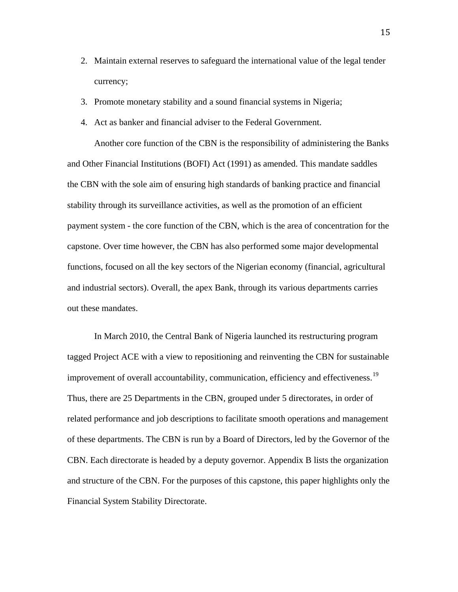- 2. Maintain external reserves to safeguard the international value of the legal tender currency;
- 3. Promote monetary stability and a sound financial systems in Nigeria;
- 4. Act as banker and financial adviser to the Federal Government.

Another core function of the CBN is the responsibility of administering the Banks and Other Financial Institutions (BOFI) Act (1991) as amended. This mandate saddles the CBN with the sole aim of ensuring high standards of banking practice and financial stability through its surveillance activities, as well as the promotion of an efficient payment system - the core function of the CBN, which is the area of concentration for the capstone. Over time however, the CBN has also performed some major developmental functions, focused on all the key sectors of the Nigerian economy (financial, agricultural and industrial sectors). Overall, the apex Bank, through its various departments carries out these mandates.

In March 2010, the Central Bank of Nigeria launched its restructuring program tagged Project ACE with a view to repositioning and reinventing the CBN for sustainable improvement of overall accountability, communication, efficiency and effectiveness.<sup>[19](#page-63-6)</sup> Thus, there are 25 Departments in the CBN, grouped under 5 directorates, in order of related performance and job descriptions to facilitate smooth operations and management of these departments. The CBN is run by a Board of Directors, led by the Governor of the CBN. Each directorate is headed by a deputy governor. Appendix B lists the organization and structure of the CBN. For the purposes of this capstone, this paper highlights only the Financial System Stability Directorate.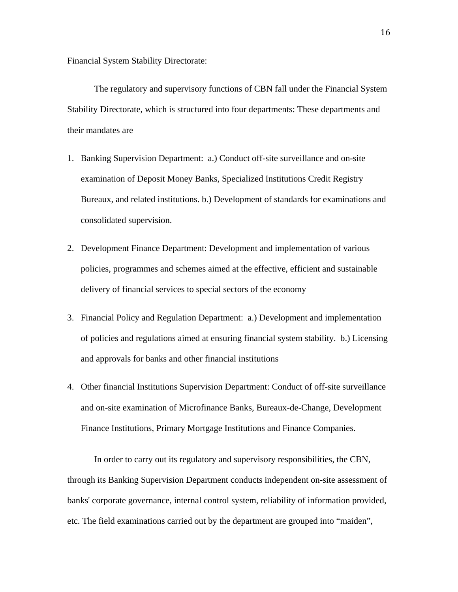#### Financial System Stability Directorate:

The regulatory and supervisory functions of CBN fall under the Financial System Stability Directorate, which is structured into four departments: These departments and their mandates are

- 1. Banking Supervision Department: a.) Conduct off-site surveillance and on-site examination of Deposit Money Banks, Specialized Institutions Credit Registry Bureaux, and related institutions. b.) Development of standards for examinations and consolidated supervision.
- 2. Development Finance Department: Development and implementation of various policies, programmes and schemes aimed at the effective, efficient and sustainable delivery of financial services to special sectors of the economy
- 3. Financial Policy and Regulation Department: a.) Development and implementation of policies and regulations aimed at ensuring financial system stability. b.) Licensing and approvals for banks and other financial institutions
- 4. Other financial Institutions Supervision Department: Conduct of off-site surveillance and on-site examination of Microfinance Banks, Bureaux-de-Change, Development Finance Institutions, Primary Mortgage Institutions and Finance Companies.

In order to carry out its regulatory and supervisory responsibilities, the CBN, through its Banking Supervision Department conducts independent on-site assessment of banks' corporate governance, internal control system, reliability of information provided, etc. The field examinations carried out by the department are grouped into "maiden",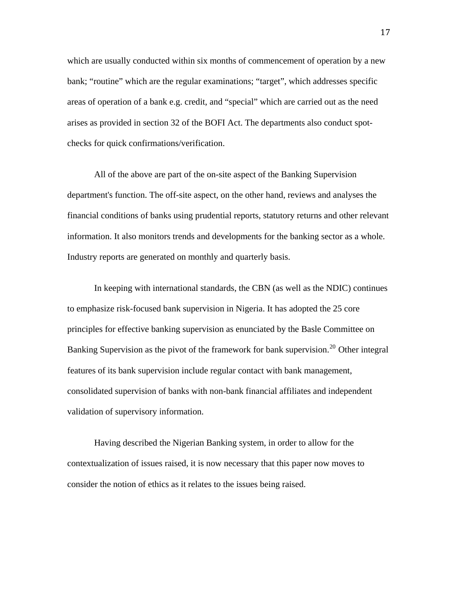which are usually conducted within six months of commencement of operation by a new bank; "routine" which are the regular examinations; "target", which addresses specific areas of operation of a bank e.g. credit, and "special" which are carried out as the need arises as provided in section 32 of the BOFI Act. The departments also conduct spotchecks for quick confirmations/verification.

All of the above are part of the on-site aspect of the Banking Supervision department's function. The off-site aspect, on the other hand, reviews and analyses the financial conditions of banks using prudential reports, statutory returns and other relevant information. It also monitors trends and developments for the banking sector as a whole. Industry reports are generated on monthly and quarterly basis.

In keeping with international standards, the CBN (as well as the NDIC) continues to emphasize risk-focused bank supervision in Nigeria. It has adopted the 25 core principles for effective banking supervision as enunciated by the Basle Committee on Banking Supervision as the pivot of the framework for bank supervision.<sup>[20](#page-63-7)</sup> Other integral features of its bank supervision include regular contact with bank management, consolidated supervision of banks with non-bank financial affiliates and independent validation of supervisory information.

Having described the Nigerian Banking system, in order to allow for the contextualization of issues raised, it is now necessary that this paper now moves to consider the notion of ethics as it relates to the issues being raised.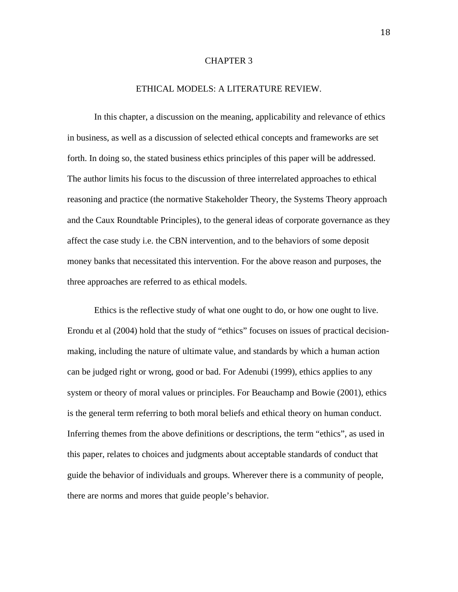#### CHAPTER 3

#### ETHICAL MODELS: A LITERATURE REVIEW.

In this chapter, a discussion on the meaning, applicability and relevance of ethics in business, as well as a discussion of selected ethical concepts and frameworks are set forth. In doing so, the stated business ethics principles of this paper will be addressed. The author limits his focus to the discussion of three interrelated approaches to ethical reasoning and practice (the normative Stakeholder Theory, the Systems Theory approach and the Caux Roundtable Principles), to the general ideas of corporate governance as they affect the case study i.e. the CBN intervention, and to the behaviors of some deposit money banks that necessitated this intervention. For the above reason and purposes, the three approaches are referred to as ethical models.

Ethics is the reflective study of what one ought to do, or how one ought to live. Erondu et al (2004) hold that the study of "ethics" focuses on issues of practical decisionmaking, including the nature of ultimate value, and standards by which a human action can be judged right or wrong, good or bad. For Adenubi (1999), ethics applies to any system or theory of moral values or principles. For Beauchamp and Bowie (2001), ethics is the general term referring to both moral beliefs and ethical theory on human conduct. Inferring themes from the above definitions or descriptions, the term "ethics", as used in this paper, relates to choices and judgments about acceptable standards of conduct that guide the behavior of individuals and groups. Wherever there is a community of people, there are norms and mores that guide people's behavior.

18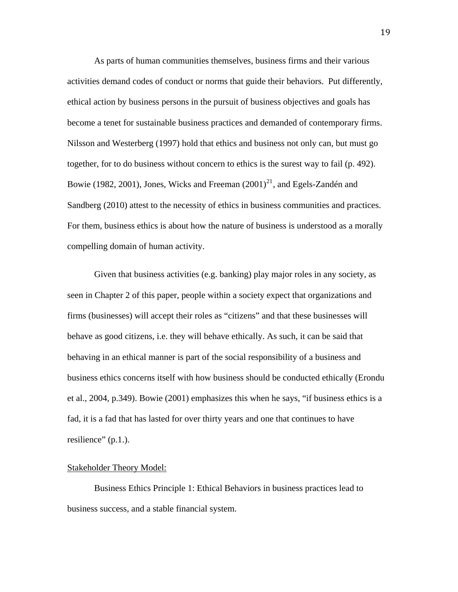As parts of human communities themselves, business firms and their various activities demand codes of conduct or norms that guide their behaviors. Put differently, ethical action by business persons in the pursuit of business objectives and goals has become a tenet for sustainable business practices and demanded of contemporary firms. Nilsson and Westerberg (1997) hold that ethics and business not only can, but must go together, for to do business without concern to ethics is the surest way to fail (p. 492). Bowie (1982, 2001), Jones, Wicks and Freeman  $(2001)^{21}$  $(2001)^{21}$  $(2001)^{21}$ , and Egels-Zandén and Sandberg (2010) attest to the necessity of ethics in business communities and practices. For them, business ethics is about how the nature of business is understood as a morally compelling domain of human activity.

Given that business activities (e.g. banking) play major roles in any society, as seen in Chapter 2 of this paper, people within a society expect that organizations and firms (businesses) will accept their roles as "citizens" and that these businesses will behave as good citizens, i.e. they will behave ethically. As such, it can be said that behaving in an ethical manner is part of the social responsibility of a business and business ethics concerns itself with how business should be conducted ethically (Erondu et al., 2004, p.349). Bowie (2001) emphasizes this when he says, "if business ethics is a fad, it is a fad that has lasted for over thirty years and one that continues to have resilience" (p.1.).

#### Stakeholder Theory Model:

Business Ethics Principle 1: Ethical Behaviors in business practices lead to business success, and a stable financial system.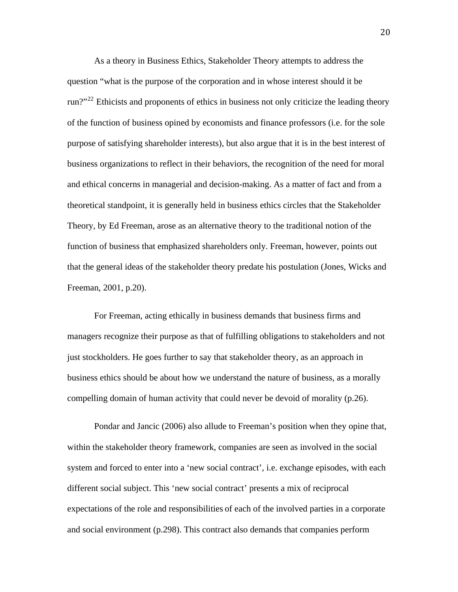As a theory in Business Ethics, Stakeholder Theory attempts to address the question "what is the purpose of the corporation and in whose interest should it be run?"<sup>[22](#page-63-9)</sup> Ethicists and proponents of ethics in business not only criticize the leading theory of the function of business opined by economists and finance professors (i.e. for the sole purpose of satisfying shareholder interests), but also argue that it is in the best interest of business organizations to reflect in their behaviors, the recognition of the need for moral and ethical concerns in managerial and decision-making. As a matter of fact and from a theoretical standpoint, it is generally held in business ethics circles that the Stakeholder Theory, by Ed Freeman, arose as an alternative theory to the traditional notion of the function of business that emphasized shareholders only. Freeman, however, points out that the general ideas of the stakeholder theory predate his postulation (Jones, Wicks and Freeman, 2001, p.20).

For Freeman, acting ethically in business demands that business firms and managers recognize their purpose as that of fulfilling obligations to stakeholders and not just stockholders. He goes further to say that stakeholder theory, as an approach in business ethics should be about how we understand the nature of business, as a morally compelling domain of human activity that could never be devoid of morality (p.26).

Pondar and Jancic (2006) also allude to Freeman's position when they opine that, within the stakeholder theory framework, companies are seen as involved in the social system and forced to enter into a 'new social contract', i.e. exchange episodes, with each different social subject. This 'new social contract' presents a mix of reciprocal expectations of the role and responsibilities of each of the involved parties in a corporate and social environment (p.298). This contract also demands that companies perform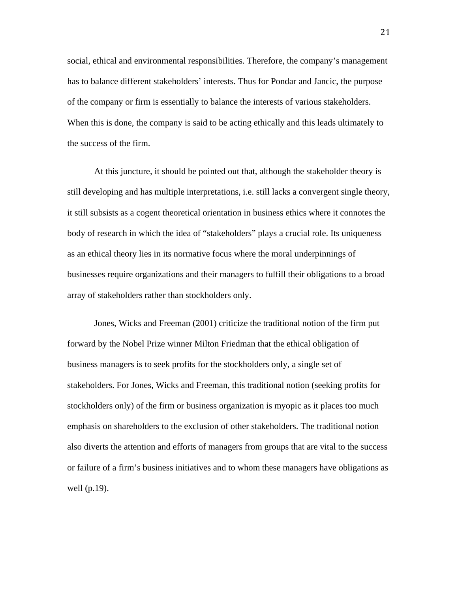social, ethical and environmental responsibilities. Therefore, the company's management has to balance different stakeholders' interests. Thus for Pondar and Jancic, the purpose of the company or firm is essentially to balance the interests of various stakeholders. When this is done, the company is said to be acting ethically and this leads ultimately to the success of the firm.

At this juncture, it should be pointed out that, although the stakeholder theory is still developing and has multiple interpretations, i.e. still lacks a convergent single theory, it still subsists as a cogent theoretical orientation in business ethics where it connotes the body of research in which the idea of "stakeholders" plays a crucial role. Its uniqueness as an ethical theory lies in its normative focus where the moral underpinnings of businesses require organizations and their managers to fulfill their obligations to a broad array of stakeholders rather than stockholders only.

Jones, Wicks and Freeman (2001) criticize the traditional notion of the firm put forward by the Nobel Prize winner Milton Friedman that the ethical obligation of business managers is to seek profits for the stockholders only, a single set of stakeholders. For Jones, Wicks and Freeman, this traditional notion (seeking profits for stockholders only) of the firm or business organization is myopic as it places too much emphasis on shareholders to the exclusion of other stakeholders. The traditional notion also diverts the attention and efforts of managers from groups that are vital to the success or failure of a firm's business initiatives and to whom these managers have obligations as well (p.19).

21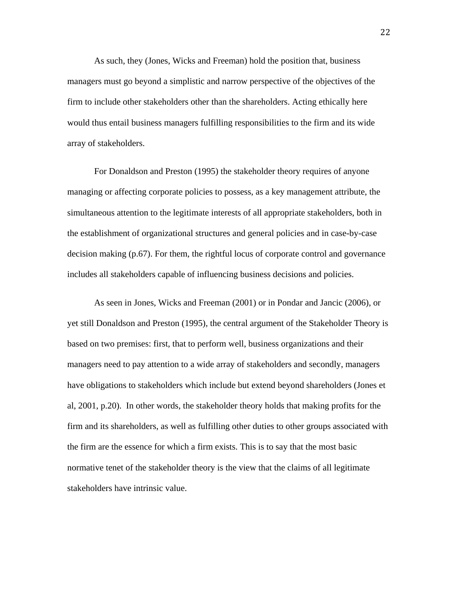As such, they (Jones, Wicks and Freeman) hold the position that, business managers must go beyond a simplistic and narrow perspective of the objectives of the firm to include other stakeholders other than the shareholders. Acting ethically here would thus entail business managers fulfilling responsibilities to the firm and its wide array of stakeholders.

For Donaldson and Preston (1995) the stakeholder theory requires of anyone managing or affecting corporate policies to possess, as a key management attribute, the simultaneous attention to the legitimate interests of all appropriate stakeholders, both in the establishment of organizational structures and general policies and in case-by-case decision making (p.67). For them, the rightful locus of corporate control and governance includes all stakeholders capable of influencing business decisions and policies.

As seen in Jones, Wicks and Freeman (2001) or in Pondar and Jancic (2006), or yet still Donaldson and Preston (1995), the central argument of the Stakeholder Theory is based on two premises: first, that to perform well, business organizations and their managers need to pay attention to a wide array of stakeholders and secondly, managers have obligations to stakeholders which include but extend beyond shareholders (Jones et al, 2001, p.20). In other words, the stakeholder theory holds that making profits for the firm and its shareholders, as well as fulfilling other duties to other groups associated with the firm are the essence for which a firm exists. This is to say that the most basic normative tenet of the stakeholder theory is the view that the claims of all legitimate stakeholders have intrinsic value.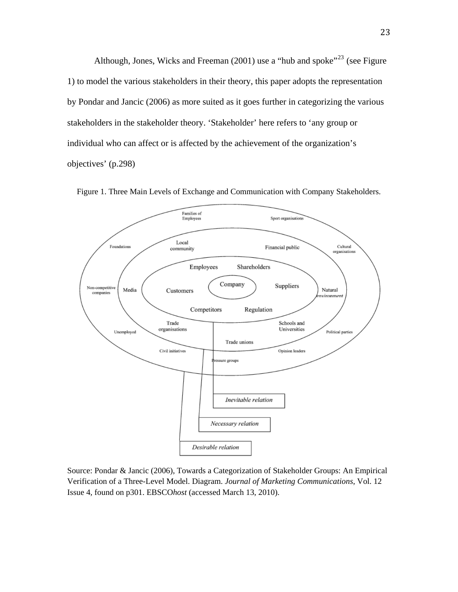Although, Jones, Wicks and Freeman (2001) use a "hub and spoke"<sup>[23](#page-63-10)</sup> (see Figure 1) to model the various stakeholders in their theory, this paper adopts the representation by Pondar and Jancic (2006) as more suited as it goes further in categorizing the various stakeholders in the stakeholder theory. 'Stakeholder' here refers to 'any group or individual who can affect or is affected by the achievement of the organization's objectives' (p.298)



Figure 1. Three Main Levels of Exchange and Communication with Company Stakeholders.

Source: Pondar & Jancic (2006), Towards a Categorization of Stakeholder Groups: An Empirical Verification of a Three-Level Model. Diagram. *Journal of Marketing Communications*, Vol. 12 Issue 4, found on p301. EBSCO*host* (accessed March 13, 2010).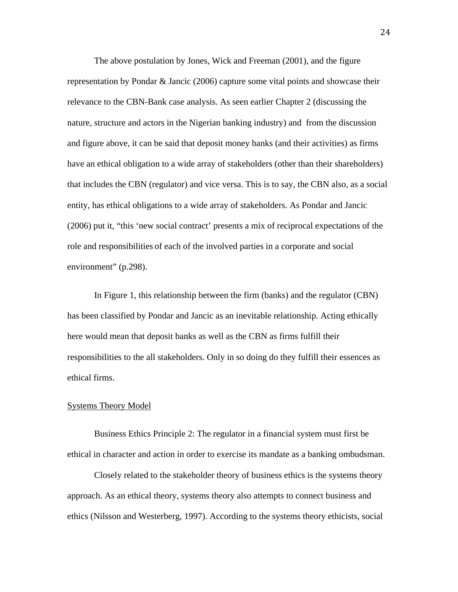The above postulation by Jones, Wick and Freeman (2001), and the figure representation by Pondar & Jancic (2006) capture some vital points and showcase their relevance to the CBN-Bank case analysis. As seen earlier Chapter 2 (discussing the nature, structure and actors in the Nigerian banking industry) and from the discussion and figure above, it can be said that deposit money banks (and their activities) as firms have an ethical obligation to a wide array of stakeholders (other than their shareholders) that includes the CBN (regulator) and vice versa. This is to say, the CBN also, as a social entity, has ethical obligations to a wide array of stakeholders. As Pondar and Jancic (2006) put it, "this 'new social contract' presents a mix of reciprocal expectations of the role and responsibilities of each of the involved parties in a corporate and social environment" (p.298).

In Figure 1, this relationship between the firm (banks) and the regulator (CBN) has been classified by Pondar and Jancic as an inevitable relationship. Acting ethically here would mean that deposit banks as well as the CBN as firms fulfill their responsibilities to the all stakeholders. Only in so doing do they fulfill their essences as ethical firms.

#### Systems Theory Model

Business Ethics Principle 2: The regulator in a financial system must first be ethical in character and action in order to exercise its mandate as a banking ombudsman.

Closely related to the stakeholder theory of business ethics is the systems theory approach. As an ethical theory, systems theory also attempts to connect business and ethics (Nilsson and Westerberg, 1997). According to the systems theory ethicists, social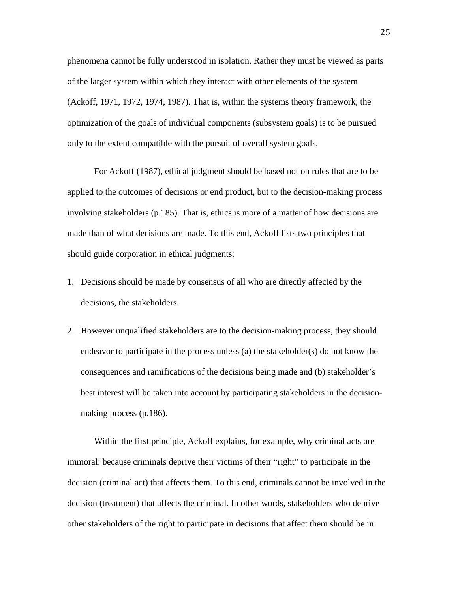phenomena cannot be fully understood in isolation. Rather they must be viewed as parts of the larger system within which they interact with other elements of the system (Ackoff, 1971, 1972, 1974, 1987). That is, within the systems theory framework, the optimization of the goals of individual components (subsystem goals) is to be pursued only to the extent compatible with the pursuit of overall system goals.

For Ackoff (1987), ethical judgment should be based not on rules that are to be applied to the outcomes of decisions or end product, but to the decision-making process involving stakeholders (p.185). That is, ethics is more of a matter of how decisions are made than of what decisions are made. To this end, Ackoff lists two principles that should guide corporation in ethical judgments:

- 1. Decisions should be made by consensus of all who are directly affected by the decisions, the stakeholders.
- 2. However unqualified stakeholders are to the decision-making process, they should endeavor to participate in the process unless (a) the stakeholder(s) do not know the consequences and ramifications of the decisions being made and (b) stakeholder's best interest will be taken into account by participating stakeholders in the decisionmaking process (p.186).

Within the first principle, Ackoff explains, for example, why criminal acts are immoral: because criminals deprive their victims of their "right" to participate in the decision (criminal act) that affects them. To this end, criminals cannot be involved in the decision (treatment) that affects the criminal. In other words, stakeholders who deprive other stakeholders of the right to participate in decisions that affect them should be in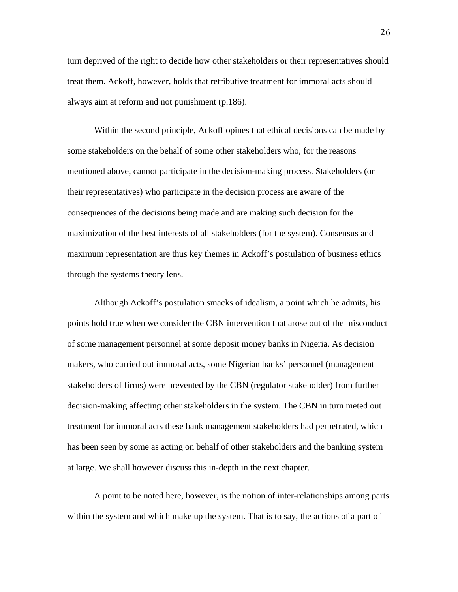turn deprived of the right to decide how other stakeholders or their representatives should treat them. Ackoff, however, holds that retributive treatment for immoral acts should always aim at reform and not punishment (p.186).

Within the second principle, Ackoff opines that ethical decisions can be made by some stakeholders on the behalf of some other stakeholders who, for the reasons mentioned above, cannot participate in the decision-making process. Stakeholders (or their representatives) who participate in the decision process are aware of the consequences of the decisions being made and are making such decision for the maximization of the best interests of all stakeholders (for the system). Consensus and maximum representation are thus key themes in Ackoff's postulation of business ethics through the systems theory lens.

Although Ackoff's postulation smacks of idealism, a point which he admits, his points hold true when we consider the CBN intervention that arose out of the misconduct of some management personnel at some deposit money banks in Nigeria. As decision makers, who carried out immoral acts, some Nigerian banks' personnel (management stakeholders of firms) were prevented by the CBN (regulator stakeholder) from further decision-making affecting other stakeholders in the system. The CBN in turn meted out treatment for immoral acts these bank management stakeholders had perpetrated, which has been seen by some as acting on behalf of other stakeholders and the banking system at large. We shall however discuss this in-depth in the next chapter.

A point to be noted here, however, is the notion of inter-relationships among parts within the system and which make up the system. That is to say, the actions of a part of

26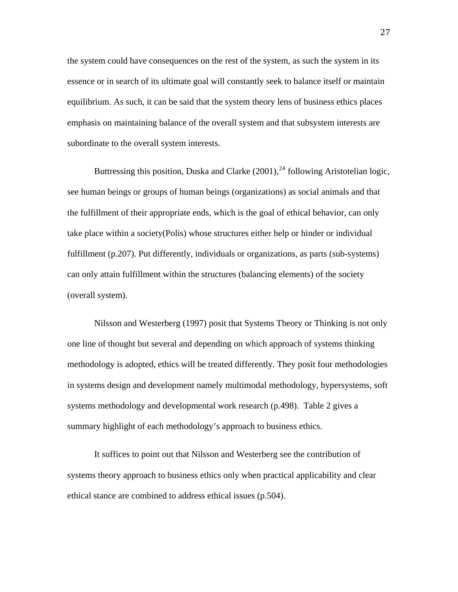the system could have consequences on the rest of the system, as such the system in its essence or in search of its ultimate goal will constantly seek to balance itself or maintain equilibrium. As such, it can be said that the system theory lens of business ethics places emphasis on maintaining balance of the overall system and that subsystem interests are subordinate to the overall system interests.

Buttressing this position, Duska and Clarke  $(2001)$ ,  $^{24}$  $^{24}$  $^{24}$  following Aristotelian logic, see human beings or groups of human beings (organizations) as social animals and that the fulfillment of their appropriate ends, which is the goal of ethical behavior, can only take place within a society(Polis) whose structures either help or hinder or individual fulfillment (p.207). Put differently, individuals or organizations, as parts (sub-systems) can only attain fulfillment within the structures (balancing elements) of the society (overall system).

Nilsson and Westerberg (1997) posit that Systems Theory or Thinking is not only one line of thought but several and depending on which approach of systems thinking methodology is adopted, ethics will be treated differently. They posit four methodologies in systems design and development namely multimodal methodology, hypersystems, soft systems methodology and developmental work research (p.498). Table 2 gives a summary highlight of each methodology's approach to business ethics.

It suffices to point out that Nilsson and Westerberg see the contribution of systems theory approach to business ethics only when practical applicability and clear ethical stance are combined to address ethical issues (p.504).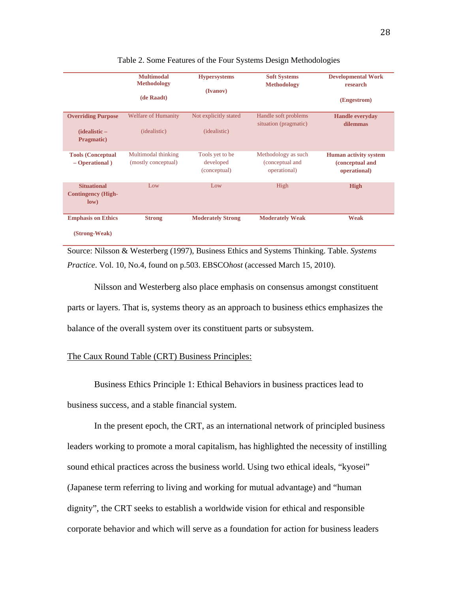|                                                          | <b>Multimodal</b><br><b>Methodology</b><br>(de Raadt) | <b>Hypersystems</b><br>(Ivanov)              | <b>Soft Systems</b><br><b>Methodology</b>              | <b>Developmental Work</b><br>research<br>(Engestrom)            |
|----------------------------------------------------------|-------------------------------------------------------|----------------------------------------------|--------------------------------------------------------|-----------------------------------------------------------------|
| <b>Overriding Purpose</b><br>(idealistic –<br>Pragmatic) | <b>Welfare of Humanity</b><br>(idealistic)            | Not explicitly stated<br>(idealistic)        | Handle soft problems<br>situation (pragmatic)          | <b>Handle everyday</b><br>dilemmas                              |
| <b>Tools (Conceptual</b><br>$-$ Operational)             | Multimodal thinking<br>(mostly conceptual)            | Tools yet to be<br>developed<br>(conceptual) | Methodology as such<br>(conceptual and<br>operational) | <b>Human activity system</b><br>(conceptual and<br>operational) |
| <b>Situational</b><br><b>Contingency (High-</b><br>low)  | Low                                                   | Low                                          | High                                                   | <b>High</b>                                                     |
| <b>Emphasis on Ethics</b><br>(Strong-Weak)               | <b>Strong</b>                                         | <b>Moderately Strong</b>                     | <b>Moderately Weak</b>                                 | <b>Weak</b>                                                     |

Table 2. Some Features of the Four Systems Design Methodologies

Source: Nilsson & Westerberg (1997), Business Ethics and Systems Thinking. Table. *Systems Practice*. Vol. 10, No.4, found on p.503. EBSCO*host* (accessed March 15, 2010).

Nilsson and Westerberg also place emphasis on consensus amongst constituent parts or layers. That is, systems theory as an approach to business ethics emphasizes the balance of the overall system over its constituent parts or subsystem.

# The Caux Round Table (CRT) Business Principles:

Business Ethics Principle 1: Ethical Behaviors in business practices lead to business success, and a stable financial system.

In the present epoch, the CRT, as an international network of principled business leaders working to promote a moral capitalism, has highlighted the necessity of instilling sound ethical practices across the business world. Using two ethical ideals, "kyosei" (Japanese term referring to living and working for mutual advantage) and "human dignity", the CRT seeks to establish a worldwide vision for ethical and responsible corporate behavior and which will serve as a foundation for action for business leaders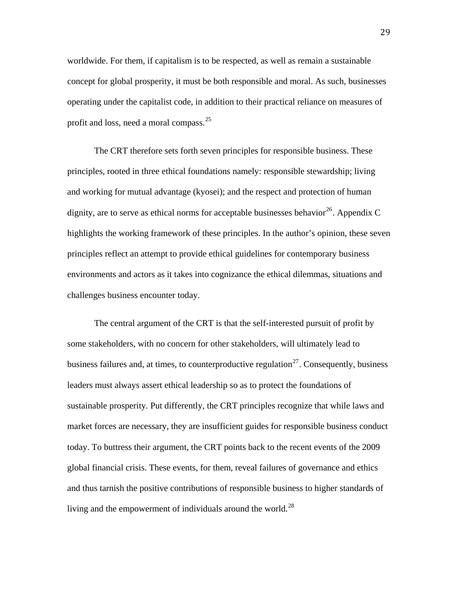worldwide. For them, if capitalism is to be respected, as well as remain a sustainable concept for global prosperity, it must be both responsible and moral. As such, businesses operating under the capitalist code, in addition to their practical reliance on measures of profit and loss, need a moral compass.<sup>[25](#page-63-0)</sup>

The CRT therefore sets forth seven principles for responsible business. These principles, rooted in three ethical foundations namely: responsible stewardship; living and working for mutual advantage (kyosei); and the respect and protection of human dignity, are to serve as ethical norms for acceptable businesses behavior<sup>[26](#page-63-1)</sup>. Appendix C highlights the working framework of these principles. In the author's opinion, these seven principles reflect an attempt to provide ethical guidelines for contemporary business environments and actors as it takes into cognizance the ethical dilemmas, situations and challenges business encounter today.

The central argument of the CRT is that the self-interested pursuit of profit by some stakeholders, with no concern for other stakeholders, will ultimately lead to business failures and, at times, to counterproductive regulation<sup>[27](#page-63-2)</sup>. Consequently, business leaders must always assert ethical leadership so as to protect the foundations of sustainable prosperity. Put differently, the CRT principles recognize that while laws and market forces are necessary, they are insufficient guides for responsible business conduct today. To buttress their argument, the CRT points back to the recent events of the 2009 global financial crisis. These events, for them, reveal failures of governance and ethics and thus tarnish the positive contributions of responsible business to higher standards of living and the empowerment of individuals around the world.<sup>[28](#page-64-0)</sup>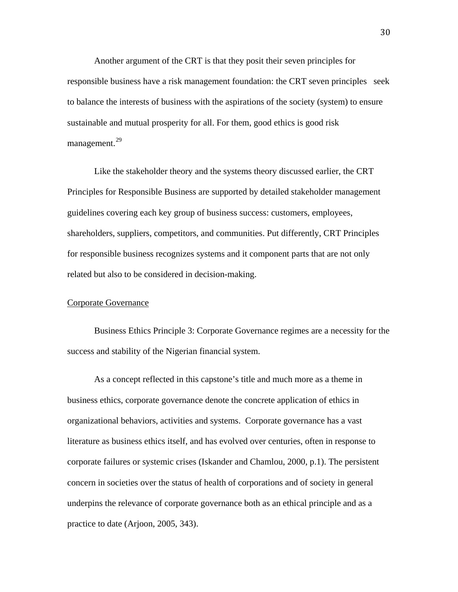Another argument of the CRT is that they posit their seven principles for responsible business have a risk management foundation: the CRT seven principles seek to balance the interests of business with the aspirations of the society (system) to ensure sustainable and mutual prosperity for all. For them, good ethics is good risk management.<sup>[29](#page-64-1)</sup>

Like the stakeholder theory and the systems theory discussed earlier, the CRT Principles for Responsible Business are supported by detailed stakeholder management guidelines covering each key group of business success: customers, employees, shareholders, suppliers, competitors, and communities. Put differently, CRT Principles for responsible business recognizes systems and it component parts that are not only related but also to be considered in decision-making.

# Corporate Governance

Business Ethics Principle 3: Corporate Governance regimes are a necessity for the success and stability of the Nigerian financial system.

As a concept reflected in this capstone's title and much more as a theme in business ethics, corporate governance denote the concrete application of ethics in organizational behaviors, activities and systems. Corporate governance has a vast literature as business ethics itself, and has evolved over centuries, often in response to corporate failures or systemic crises (Iskander and Chamlou, 2000, p.1). The persistent concern in societies over the status of health of corporations and of society in general underpins the relevance of corporate governance both as an ethical principle and as a practice to date (Arjoon, 2005, 343).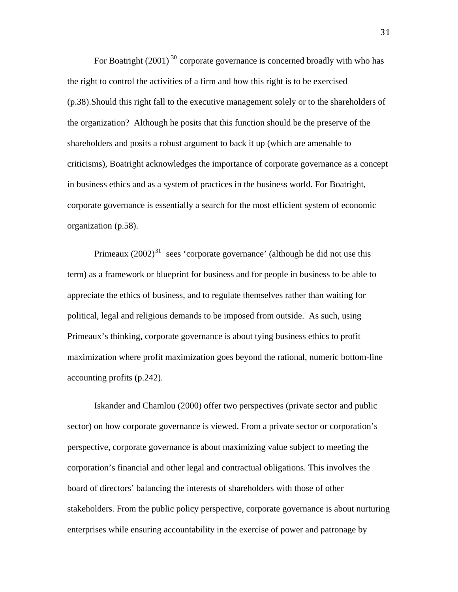For Boatright  $(2001)^{30}$  $(2001)^{30}$  $(2001)^{30}$  corporate governance is concerned broadly with who has the right to control the activities of a firm and how this right is to be exercised (p.38).Should this right fall to the executive management solely or to the shareholders of the organization? Although he posits that this function should be the preserve of the shareholders and posits a robust argument to back it up (which are amenable to criticisms), Boatright acknowledges the importance of corporate governance as a concept in business ethics and as a system of practices in the business world. For Boatright, corporate governance is essentially a search for the most efficient system of economic organization (p.58).

Primeaux  $(2002)^{31}$  $(2002)^{31}$  $(2002)^{31}$  sees 'corporate governance' (although he did not use this term) as a framework or blueprint for business and for people in business to be able to appreciate the ethics of business, and to regulate themselves rather than waiting for political, legal and religious demands to be imposed from outside. As such, using Primeaux's thinking, corporate governance is about tying business ethics to profit maximization where profit maximization goes beyond the rational, numeric bottom-line accounting profits (p.242).

Iskander and Chamlou (2000) offer two perspectives (private sector and public sector) on how corporate governance is viewed. From a private sector or corporation's perspective, corporate governance is about maximizing value subject to meeting the corporation's financial and other legal and contractual obligations. This involves the board of directors' balancing the interests of shareholders with those of other stakeholders. From the public policy perspective, corporate governance is about nurturing enterprises while ensuring accountability in the exercise of power and patronage by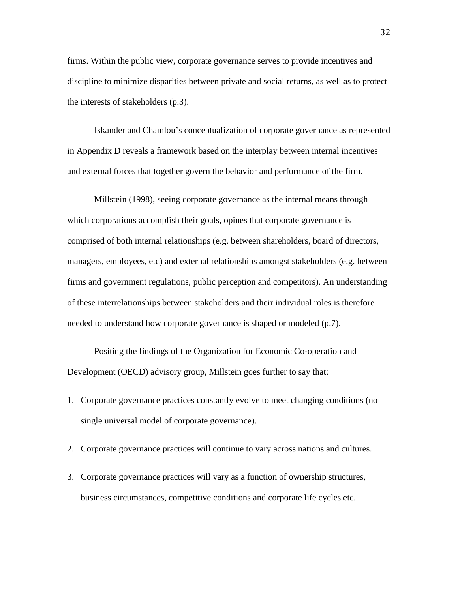firms. Within the public view, corporate governance serves to provide incentives and discipline to minimize disparities between private and social returns, as well as to protect the interests of stakeholders (p.3).

Iskander and Chamlou's conceptualization of corporate governance as represented in Appendix D reveals a framework based on the interplay between internal incentives and external forces that together govern the behavior and performance of the firm.

Millstein (1998), seeing corporate governance as the internal means through which corporations accomplish their goals, opines that corporate governance is comprised of both internal relationships (e.g. between shareholders, board of directors, managers, employees, etc) and external relationships amongst stakeholders (e.g. between firms and government regulations, public perception and competitors). An understanding of these interrelationships between stakeholders and their individual roles is therefore needed to understand how corporate governance is shaped or modeled (p.7).

Positing the findings of the Organization for Economic Co-operation and Development (OECD) advisory group, Millstein goes further to say that:

- 1. Corporate governance practices constantly evolve to meet changing conditions (no single universal model of corporate governance).
- 2. Corporate governance practices will continue to vary across nations and cultures.
- 3. Corporate governance practices will vary as a function of ownership structures, business circumstances, competitive conditions and corporate life cycles etc.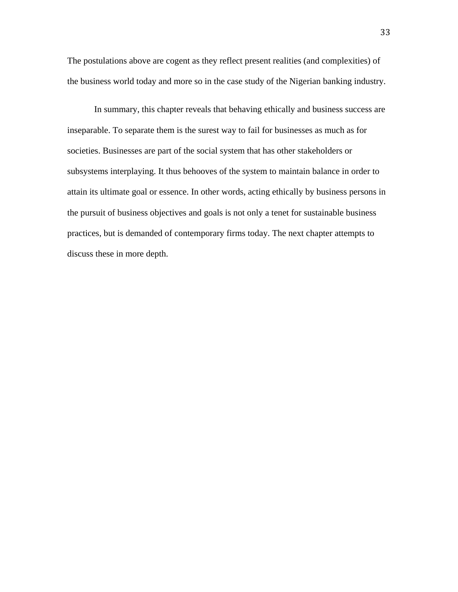The postulations above are cogent as they reflect present realities (and complexities) of the business world today and more so in the case study of the Nigerian banking industry.

In summary, this chapter reveals that behaving ethically and business success are inseparable. To separate them is the surest way to fail for businesses as much as for societies. Businesses are part of the social system that has other stakeholders or subsystems interplaying. It thus behooves of the system to maintain balance in order to attain its ultimate goal or essence. In other words, acting ethically by business persons in the pursuit of business objectives and goals is not only a tenet for sustainable business practices, but is demanded of contemporary firms today. The next chapter attempts to discuss these in more depth.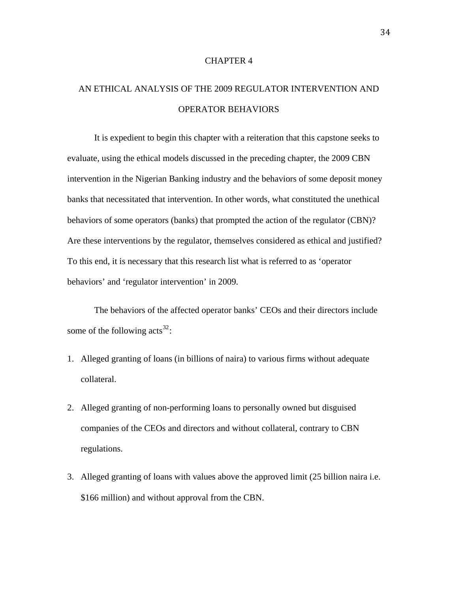## CHAPTER 4

# AN ETHICAL ANALYSIS OF THE 2009 REGULATOR INTERVENTION AND OPERATOR BEHAVIORS

It is expedient to begin this chapter with a reiteration that this capstone seeks to evaluate, using the ethical models discussed in the preceding chapter, the 2009 CBN intervention in the Nigerian Banking industry and the behaviors of some deposit money banks that necessitated that intervention. In other words, what constituted the unethical behaviors of some operators (banks) that prompted the action of the regulator (CBN)? Are these interventions by the regulator, themselves considered as ethical and justified? To this end, it is necessary that this research list what is referred to as 'operator behaviors' and 'regulator intervention' in 2009.

The behaviors of the affected operator banks' CEOs and their directors include some of the following  $\arctan 32$  $\arctan 32$ :

- 1. Alleged granting of loans (in billions of naira) to various firms without adequate collateral.
- 2. Alleged granting of non-performing loans to personally owned but disguised companies of the CEOs and directors and without collateral, contrary to CBN regulations.
- 3. Alleged granting of loans with values above the approved limit (25 billion naira i.e. \$166 million) and without approval from the CBN.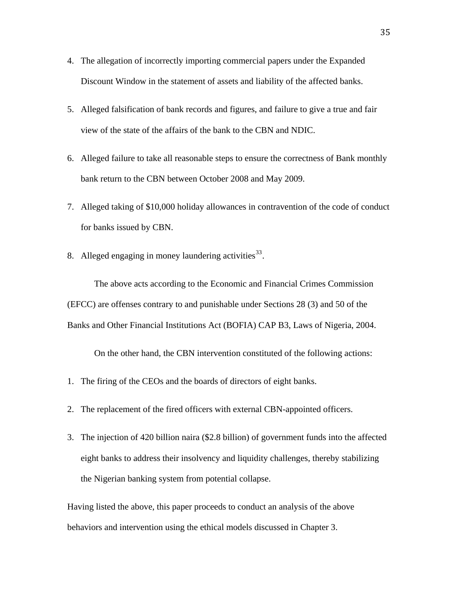- 4. The allegation of incorrectly importing commercial papers under the Expanded Discount Window in the statement of assets and liability of the affected banks.
- 5. Alleged falsification of bank records and figures, and failure to give a true and fair view of the state of the affairs of the bank to the CBN and NDIC.
- 6. Alleged failure to take all reasonable steps to ensure the correctness of Bank monthly bank return to the CBN between October 2008 and May 2009.
- 7. Alleged taking of \$10,000 holiday allowances in contravention of the code of conduct for banks issued by CBN.
- 8. Alleged engaging in money laundering activities  $33$ .

The above acts according to the Economic and Financial Crimes Commission (EFCC) are offenses contrary to and punishable under Sections 28 (3) and 50 of the Banks and Other Financial Institutions Act (BOFIA) CAP B3, Laws of Nigeria, 2004.

On the other hand, the CBN intervention constituted of the following actions:

- 1. The firing of the CEOs and the boards of directors of eight banks.
- 2. The replacement of the fired officers with external CBN-appointed officers.
- 3. The injection of 420 billion naira (\$2.8 billion) of government funds into the affected eight banks to address their insolvency and liquidity challenges, thereby stabilizing the Nigerian banking system from potential collapse.

Having listed the above, this paper proceeds to conduct an analysis of the above behaviors and intervention using the ethical models discussed in Chapter 3.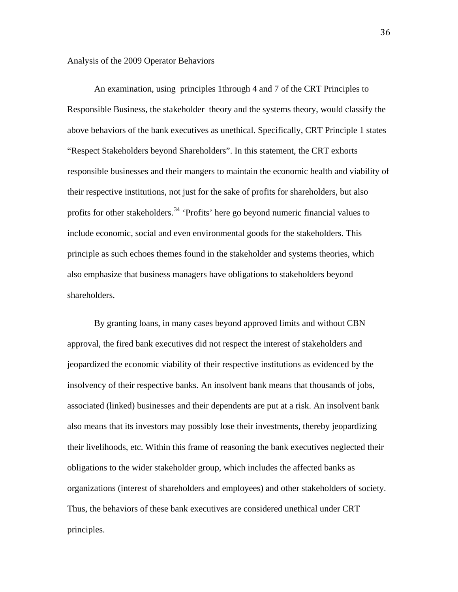## Analysis of the 2009 Operator Behaviors

An examination, using principles 1through 4 and 7 of the CRT Principles to Responsible Business, the stakeholder theory and the systems theory, would classify the above behaviors of the bank executives as unethical. Specifically, CRT Principle 1 states "Respect Stakeholders beyond Shareholders". In this statement, the CRT exhorts responsible businesses and their mangers to maintain the economic health and viability of their respective institutions, not just for the sake of profits for shareholders, but also profits for other stakeholders.<sup>[34](#page-64-6)</sup> 'Profits' here go beyond numeric financial values to include economic, social and even environmental goods for the stakeholders. This principle as such echoes themes found in the stakeholder and systems theories, which also emphasize that business managers have obligations to stakeholders beyond shareholders.

By granting loans, in many cases beyond approved limits and without CBN approval, the fired bank executives did not respect the interest of stakeholders and jeopardized the economic viability of their respective institutions as evidenced by the insolvency of their respective banks. An insolvent bank means that thousands of jobs, associated (linked) businesses and their dependents are put at a risk. An insolvent bank also means that its investors may possibly lose their investments, thereby jeopardizing their livelihoods, etc. Within this frame of reasoning the bank executives neglected their obligations to the wider stakeholder group, which includes the affected banks as organizations (interest of shareholders and employees) and other stakeholders of society. Thus, the behaviors of these bank executives are considered unethical under CRT principles.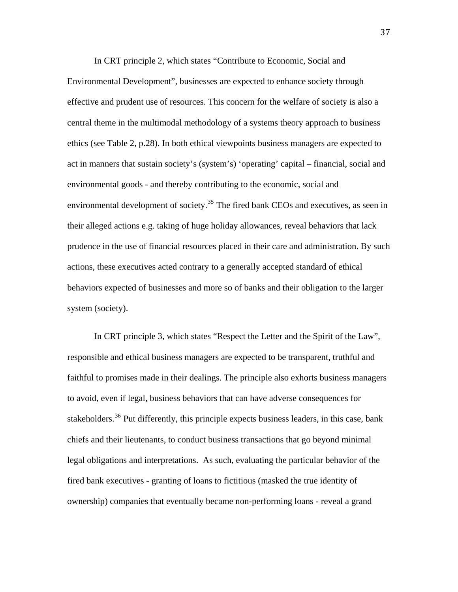In CRT principle 2, which states "Contribute to Economic, Social and Environmental Development", businesses are expected to enhance society through effective and prudent use of resources. This concern for the welfare of society is also a central theme in the multimodal methodology of a systems theory approach to business ethics (see Table 2, p.28). In both ethical viewpoints business managers are expected to act in manners that sustain society's (system's) 'operating' capital – financial, social and environmental goods - and thereby contributing to the economic, social and environmental development of society.<sup>[35](#page-64-7)</sup> The fired bank CEOs and executives, as seen in their alleged actions e.g. taking of huge holiday allowances, reveal behaviors that lack prudence in the use of financial resources placed in their care and administration. By such actions, these executives acted contrary to a generally accepted standard of ethical behaviors expected of businesses and more so of banks and their obligation to the larger system (society).

In CRT principle 3, which states "Respect the Letter and the Spirit of the Law", responsible and ethical business managers are expected to be transparent, truthful and faithful to promises made in their dealings. The principle also exhorts business managers to avoid, even if legal, business behaviors that can have adverse consequences for stakeholders.<sup>[36](#page-64-8)</sup> Put differently, this principle expects business leaders, in this case, bank chiefs and their lieutenants, to conduct business transactions that go beyond minimal legal obligations and interpretations. As such, evaluating the particular behavior of the fired bank executives - granting of loans to fictitious (masked the true identity of ownership) companies that eventually became non-performing loans - reveal a grand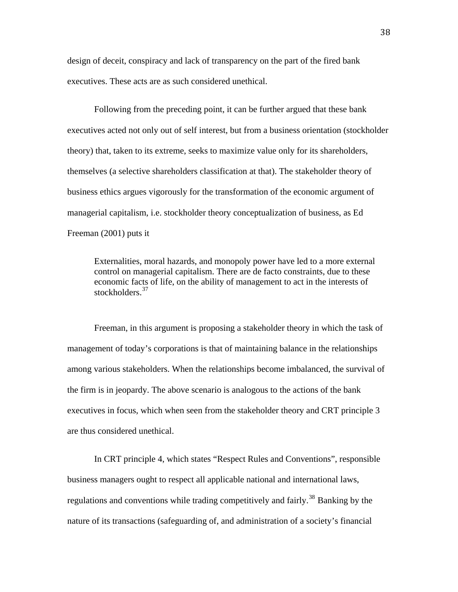design of deceit, conspiracy and lack of transparency on the part of the fired bank executives. These acts are as such considered unethical.

Following from the preceding point, it can be further argued that these bank executives acted not only out of self interest, but from a business orientation (stockholder theory) that, taken to its extreme, seeks to maximize value only for its shareholders, themselves (a selective shareholders classification at that). The stakeholder theory of business ethics argues vigorously for the transformation of the economic argument of managerial capitalism, i.e. stockholder theory conceptualization of business, as Ed Freeman (2001) puts it

Externalities, moral hazards, and monopoly power have led to a more external control on managerial capitalism. There are de facto constraints, due to these economic facts of life, on the ability of management to act in the interests of stockholders.<sup>[37](#page-64-9)</sup>

Freeman, in this argument is proposing a stakeholder theory in which the task of management of today's corporations is that of maintaining balance in the relationships among various stakeholders. When the relationships become imbalanced, the survival of the firm is in jeopardy. The above scenario is analogous to the actions of the bank executives in focus, which when seen from the stakeholder theory and CRT principle 3 are thus considered unethical.

In CRT principle 4, which states "Respect Rules and Conventions", responsible business managers ought to respect all applicable national and international laws, regulations and conventions while trading competitively and fairly.<sup>[38](#page-64-10)</sup> Banking by the nature of its transactions (safeguarding of, and administration of a society's financial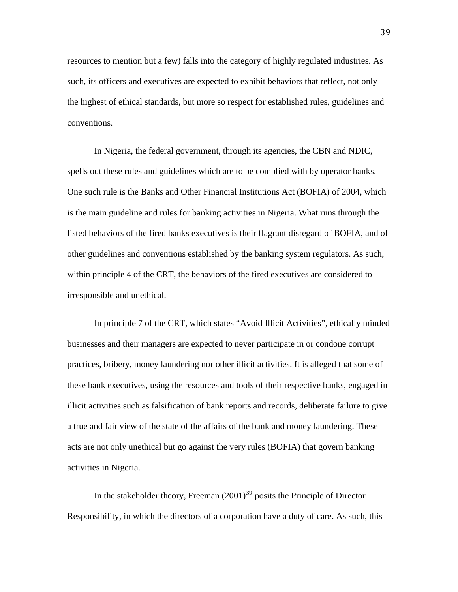resources to mention but a few) falls into the category of highly regulated industries. As such, its officers and executives are expected to exhibit behaviors that reflect, not only the highest of ethical standards, but more so respect for established rules, guidelines and conventions.

In Nigeria, the federal government, through its agencies, the CBN and NDIC, spells out these rules and guidelines which are to be complied with by operator banks. One such rule is the Banks and Other Financial Institutions Act (BOFIA) of 2004, which is the main guideline and rules for banking activities in Nigeria. What runs through the listed behaviors of the fired banks executives is their flagrant disregard of BOFIA, and of other guidelines and conventions established by the banking system regulators. As such, within principle 4 of the CRT, the behaviors of the fired executives are considered to irresponsible and unethical.

In principle 7 of the CRT, which states "Avoid Illicit Activities", ethically minded businesses and their managers are expected to never participate in or condone corrupt practices, bribery, money laundering nor other illicit activities. It is alleged that some of these bank executives, using the resources and tools of their respective banks, engaged in illicit activities such as falsification of bank reports and records, deliberate failure to give a true and fair view of the state of the affairs of the bank and money laundering. These acts are not only unethical but go against the very rules (BOFIA) that govern banking activities in Nigeria.

In the stakeholder theory, Freeman  $(2001)^{39}$  $(2001)^{39}$  $(2001)^{39}$  posits the Principle of Director Responsibility, in which the directors of a corporation have a duty of care. As such, this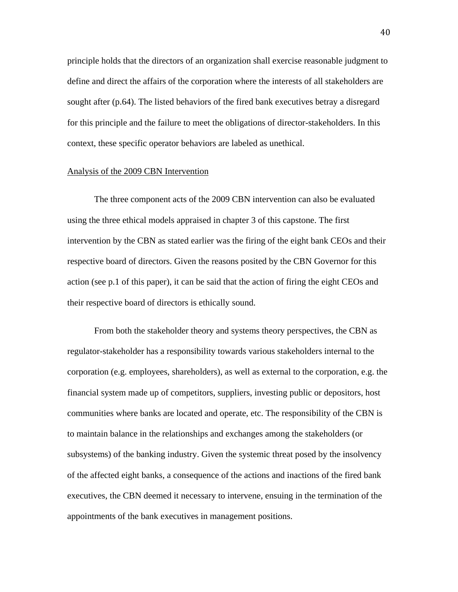principle holds that the directors of an organization shall exercise reasonable judgment to define and direct the affairs of the corporation where the interests of all stakeholders are sought after (p.64). The listed behaviors of the fired bank executives betray a disregard for this principle and the failure to meet the obligations of director-stakeholders. In this context, these specific operator behaviors are labeled as unethical.

## Analysis of the 2009 CBN Intervention

The three component acts of the 2009 CBN intervention can also be evaluated using the three ethical models appraised in chapter 3 of this capstone. The first intervention by the CBN as stated earlier was the firing of the eight bank CEOs and their respective board of directors. Given the reasons posited by the CBN Governor for this action (see p.1 of this paper), it can be said that the action of firing the eight CEOs and their respective board of directors is ethically sound.

From both the stakeholder theory and systems theory perspectives, the CBN as regulator-stakeholder has a responsibility towards various stakeholders internal to the corporation (e.g. employees, shareholders), as well as external to the corporation, e.g. the financial system made up of competitors, suppliers, investing public or depositors, host communities where banks are located and operate, etc. The responsibility of the CBN is to maintain balance in the relationships and exchanges among the stakeholders (or subsystems) of the banking industry. Given the systemic threat posed by the insolvency of the affected eight banks, a consequence of the actions and inactions of the fired bank executives, the CBN deemed it necessary to intervene, ensuing in the termination of the appointments of the bank executives in management positions.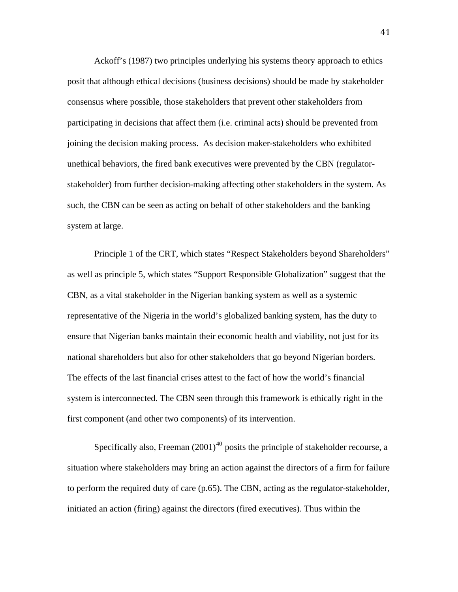Ackoff's (1987) two principles underlying his systems theory approach to ethics posit that although ethical decisions (business decisions) should be made by stakeholder consensus where possible, those stakeholders that prevent other stakeholders from participating in decisions that affect them (i.e. criminal acts) should be prevented from joining the decision making process. As decision maker-stakeholders who exhibited unethical behaviors, the fired bank executives were prevented by the CBN (regulatorstakeholder) from further decision-making affecting other stakeholders in the system. As such, the CBN can be seen as acting on behalf of other stakeholders and the banking system at large.

Principle 1 of the CRT, which states "Respect Stakeholders beyond Shareholders" as well as principle 5, which states "Support Responsible Globalization" suggest that the CBN, as a vital stakeholder in the Nigerian banking system as well as a systemic representative of the Nigeria in the world's globalized banking system, has the duty to ensure that Nigerian banks maintain their economic health and viability, not just for its national shareholders but also for other stakeholders that go beyond Nigerian borders. The effects of the last financial crises attest to the fact of how the world's financial system is interconnected. The CBN seen through this framework is ethically right in the first component (and other two components) of its intervention.

Specifically also, Freeman  $(2001)^{40}$  $(2001)^{40}$  $(2001)^{40}$  posits the principle of stakeholder recourse, a situation where stakeholders may bring an action against the directors of a firm for failure to perform the required duty of care (p.65). The CBN, acting as the regulator-stakeholder, initiated an action (firing) against the directors (fired executives). Thus within the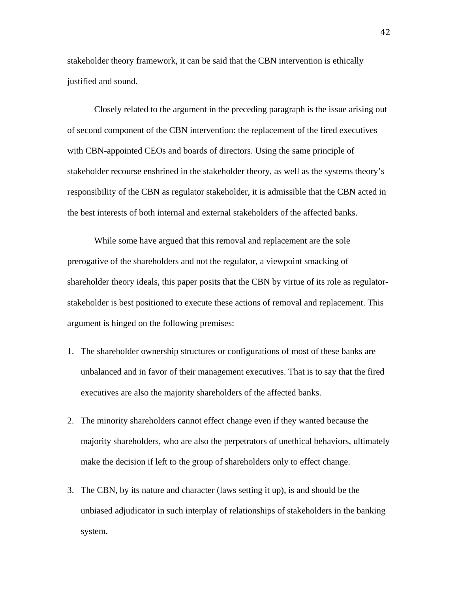stakeholder theory framework, it can be said that the CBN intervention is ethically justified and sound.

Closely related to the argument in the preceding paragraph is the issue arising out of second component of the CBN intervention: the replacement of the fired executives with CBN-appointed CEOs and boards of directors. Using the same principle of stakeholder recourse enshrined in the stakeholder theory, as well as the systems theory's responsibility of the CBN as regulator stakeholder, it is admissible that the CBN acted in the best interests of both internal and external stakeholders of the affected banks.

While some have argued that this removal and replacement are the sole prerogative of the shareholders and not the regulator, a viewpoint smacking of shareholder theory ideals, this paper posits that the CBN by virtue of its role as regulatorstakeholder is best positioned to execute these actions of removal and replacement. This argument is hinged on the following premises:

- 1. The shareholder ownership structures or configurations of most of these banks are unbalanced and in favor of their management executives. That is to say that the fired executives are also the majority shareholders of the affected banks.
- 2. The minority shareholders cannot effect change even if they wanted because the majority shareholders, who are also the perpetrators of unethical behaviors, ultimately make the decision if left to the group of shareholders only to effect change.
- 3. The CBN, by its nature and character (laws setting it up), is and should be the unbiased adjudicator in such interplay of relationships of stakeholders in the banking system.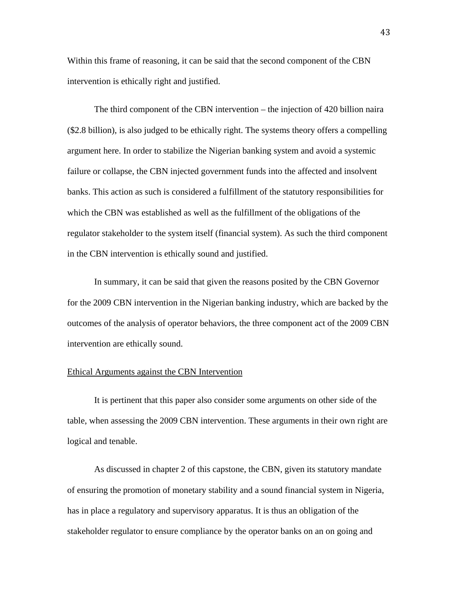Within this frame of reasoning, it can be said that the second component of the CBN intervention is ethically right and justified.

The third component of the CBN intervention – the injection of 420 billion naira (\$2.8 billion), is also judged to be ethically right. The systems theory offers a compelling argument here. In order to stabilize the Nigerian banking system and avoid a systemic failure or collapse, the CBN injected government funds into the affected and insolvent banks. This action as such is considered a fulfillment of the statutory responsibilities for which the CBN was established as well as the fulfillment of the obligations of the regulator stakeholder to the system itself (financial system). As such the third component in the CBN intervention is ethically sound and justified.

In summary, it can be said that given the reasons posited by the CBN Governor for the 2009 CBN intervention in the Nigerian banking industry, which are backed by the outcomes of the analysis of operator behaviors, the three component act of the 2009 CBN intervention are ethically sound.

## Ethical Arguments against the CBN Intervention

It is pertinent that this paper also consider some arguments on other side of the table, when assessing the 2009 CBN intervention. These arguments in their own right are logical and tenable.

As discussed in chapter 2 of this capstone, the CBN, given its statutory mandate of ensuring the promotion of monetary stability and a sound financial system in Nigeria, has in place a regulatory and supervisory apparatus. It is thus an obligation of the stakeholder regulator to ensure compliance by the operator banks on an on going and

43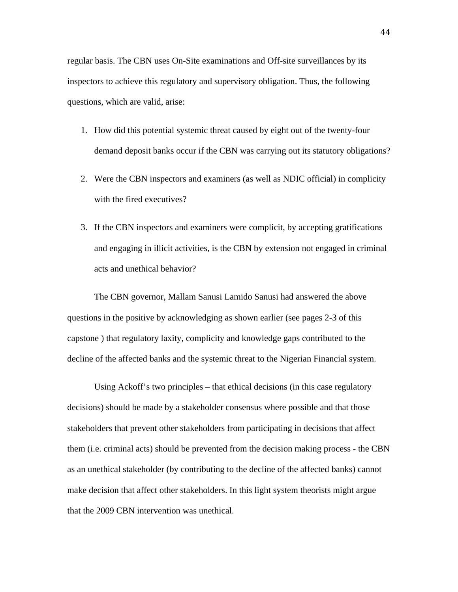regular basis. The CBN uses On-Site examinations and Off-site surveillances by its inspectors to achieve this regulatory and supervisory obligation. Thus, the following questions, which are valid, arise:

- 1. How did this potential systemic threat caused by eight out of the twenty-four demand deposit banks occur if the CBN was carrying out its statutory obligations?
- 2. Were the CBN inspectors and examiners (as well as NDIC official) in complicity with the fired executives?
- 3. If the CBN inspectors and examiners were complicit, by accepting gratifications and engaging in illicit activities, is the CBN by extension not engaged in criminal acts and unethical behavior?

The CBN governor, Mallam Sanusi Lamido Sanusi had answered the above questions in the positive by acknowledging as shown earlier (see pages 2-3 of this capstone ) that regulatory laxity, complicity and knowledge gaps contributed to the decline of the affected banks and the systemic threat to the Nigerian Financial system.

Using Ackoff's two principles – that ethical decisions (in this case regulatory decisions) should be made by a stakeholder consensus where possible and that those stakeholders that prevent other stakeholders from participating in decisions that affect them (i.e. criminal acts) should be prevented from the decision making process - the CBN as an unethical stakeholder (by contributing to the decline of the affected banks) cannot make decision that affect other stakeholders. In this light system theorists might argue that the 2009 CBN intervention was unethical.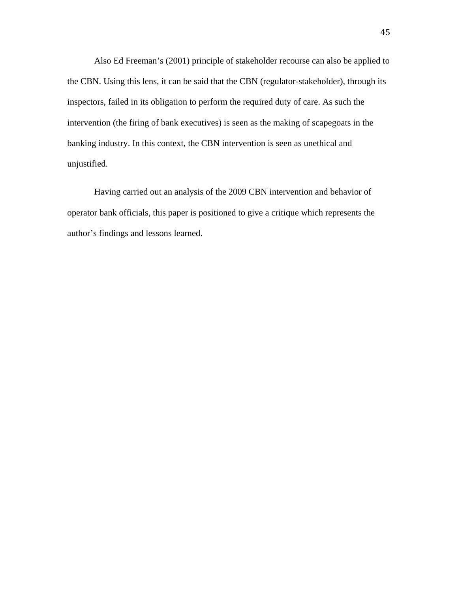Also Ed Freeman's (2001) principle of stakeholder recourse can also be applied to the CBN. Using this lens, it can be said that the CBN (regulator-stakeholder), through its inspectors, failed in its obligation to perform the required duty of care. As such the intervention (the firing of bank executives) is seen as the making of scapegoats in the banking industry. In this context, the CBN intervention is seen as unethical and unjustified.

Having carried out an analysis of the 2009 CBN intervention and behavior of operator bank officials, this paper is positioned to give a critique which represents the author's findings and lessons learned.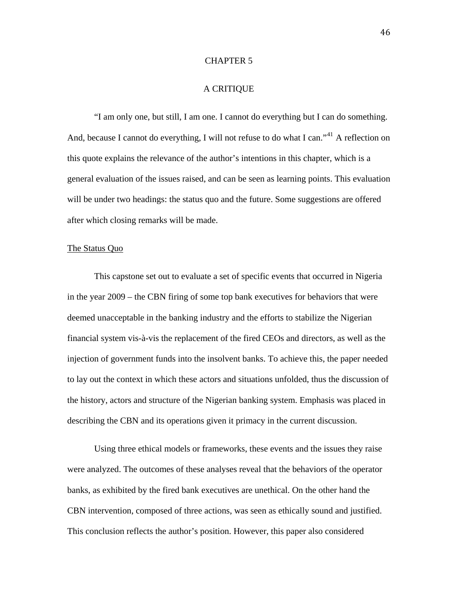## CHAPTER 5

## A CRITIQUE

"I am only one, but still, I am one. I cannot do everything but I can do something. And, because I cannot do everything, I will not refuse to do what I can."<sup>[41](#page-64-13)</sup> A reflection on this quote explains the relevance of the author's intentions in this chapter, which is a general evaluation of the issues raised, and can be seen as learning points. This evaluation will be under two headings: the status quo and the future. Some suggestions are offered after which closing remarks will be made.

#### The Status Quo

This capstone set out to evaluate a set of specific events that occurred in Nigeria in the year 2009 – the CBN firing of some top bank executives for behaviors that were deemed unacceptable in the banking industry and the efforts to stabilize the Nigerian financial system vis-à-vis the replacement of the fired CEOs and directors, as well as the injection of government funds into the insolvent banks. To achieve this, the paper needed to lay out the context in which these actors and situations unfolded, thus the discussion of the history, actors and structure of the Nigerian banking system. Emphasis was placed in describing the CBN and its operations given it primacy in the current discussion.

Using three ethical models or frameworks, these events and the issues they raise were analyzed. The outcomes of these analyses reveal that the behaviors of the operator banks, as exhibited by the fired bank executives are unethical. On the other hand the CBN intervention, composed of three actions, was seen as ethically sound and justified. This conclusion reflects the author's position. However, this paper also considered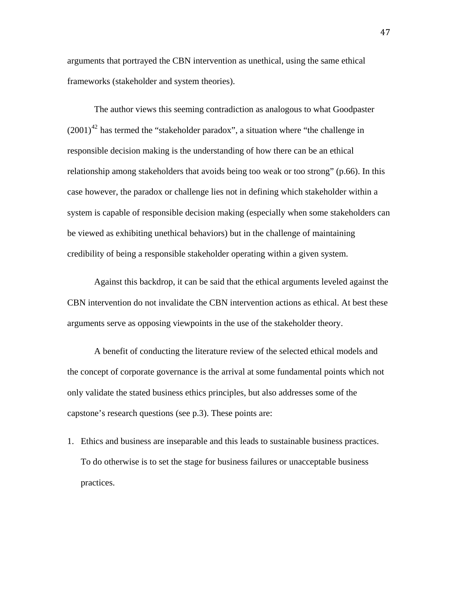arguments that portrayed the CBN intervention as unethical, using the same ethical frameworks (stakeholder and system theories).

The author views this seeming contradiction as analogous to what Goodpaster  $(2001)^{42}$  $(2001)^{42}$  $(2001)^{42}$  has termed the "stakeholder paradox", a situation where "the challenge in responsible decision making is the understanding of how there can be an ethical relationship among stakeholders that avoids being too weak or too strong" (p.66). In this case however, the paradox or challenge lies not in defining which stakeholder within a system is capable of responsible decision making (especially when some stakeholders can be viewed as exhibiting unethical behaviors) but in the challenge of maintaining credibility of being a responsible stakeholder operating within a given system.

Against this backdrop, it can be said that the ethical arguments leveled against the CBN intervention do not invalidate the CBN intervention actions as ethical. At best these arguments serve as opposing viewpoints in the use of the stakeholder theory.

A benefit of conducting the literature review of the selected ethical models and the concept of corporate governance is the arrival at some fundamental points which not only validate the stated business ethics principles, but also addresses some of the capstone's research questions (see p.3). These points are:

1. Ethics and business are inseparable and this leads to sustainable business practices. To do otherwise is to set the stage for business failures or unacceptable business practices.

47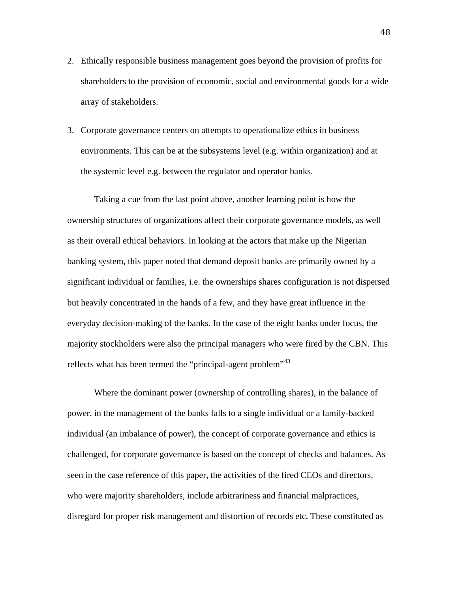- 2. Ethically responsible business management goes beyond the provision of profits for shareholders to the provision of economic, social and environmental goods for a wide array of stakeholders.
- 3. Corporate governance centers on attempts to operationalize ethics in business environments. This can be at the subsystems level (e.g. within organization) and at the systemic level e.g. between the regulator and operator banks.

Taking a cue from the last point above, another learning point is how the ownership structures of organizations affect their corporate governance models, as well as their overall ethical behaviors. In looking at the actors that make up the Nigerian banking system, this paper noted that demand deposit banks are primarily owned by a significant individual or families, i.e. the ownerships shares configuration is not dispersed but heavily concentrated in the hands of a few, and they have great influence in the everyday decision-making of the banks. In the case of the eight banks under focus, the majority stockholders were also the principal managers who were fired by the CBN. This reflects what has been termed the "principal-agent problem"<sup>[43](#page-65-1)</sup>

Where the dominant power (ownership of controlling shares), in the balance of power, in the management of the banks falls to a single individual or a family-backed individual (an imbalance of power), the concept of corporate governance and ethics is challenged, for corporate governance is based on the concept of checks and balances. As seen in the case reference of this paper, the activities of the fired CEOs and directors, who were majority shareholders, include arbitrariness and financial malpractices, disregard for proper risk management and distortion of records etc. These constituted as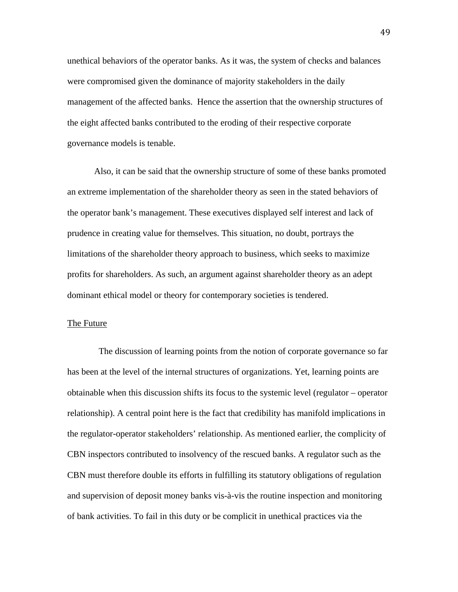unethical behaviors of the operator banks. As it was, the system of checks and balances were compromised given the dominance of majority stakeholders in the daily management of the affected banks. Hence the assertion that the ownership structures of the eight affected banks contributed to the eroding of their respective corporate governance models is tenable.

Also, it can be said that the ownership structure of some of these banks promoted an extreme implementation of the shareholder theory as seen in the stated behaviors of the operator bank's management. These executives displayed self interest and lack of prudence in creating value for themselves. This situation, no doubt, portrays the limitations of the shareholder theory approach to business, which seeks to maximize profits for shareholders. As such, an argument against shareholder theory as an adept dominant ethical model or theory for contemporary societies is tendered.

#### The Future

 The discussion of learning points from the notion of corporate governance so far has been at the level of the internal structures of organizations. Yet, learning points are obtainable when this discussion shifts its focus to the systemic level (regulator – operator relationship). A central point here is the fact that credibility has manifold implications in the regulator-operator stakeholders' relationship. As mentioned earlier, the complicity of CBN inspectors contributed to insolvency of the rescued banks. A regulator such as the CBN must therefore double its efforts in fulfilling its statutory obligations of regulation and supervision of deposit money banks vis-à-vis the routine inspection and monitoring of bank activities. To fail in this duty or be complicit in unethical practices via the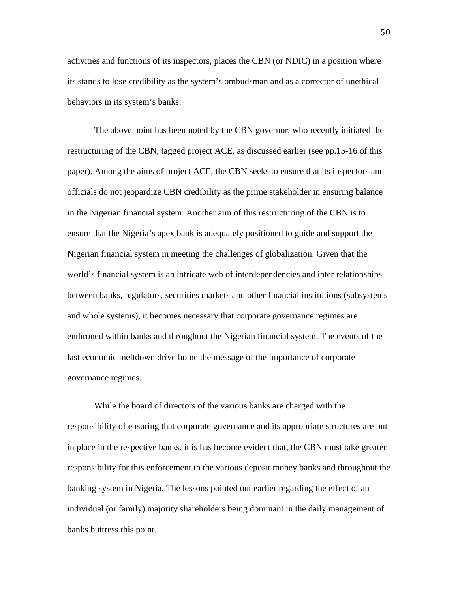activities and functions of its inspectors, places the CBN (or NDIC) in a position where its stands to lose credibility as the system's ombudsman and as a corrector of unethical behaviors in its system's banks.

The above point has been noted by the CBN governor, who recently initiated the restructuring of the CBN, tagged project ACE, as discussed earlier (see pp.15-16 of this paper). Among the aims of project ACE, the CBN seeks to ensure that its inspectors and officials do not jeopardize CBN credibility as the prime stakeholder in ensuring balance in the Nigerian financial system. Another aim of this restructuring of the CBN is to ensure that the Nigeria's apex bank is adequately positioned to guide and support the Nigerian financial system in meeting the challenges of globalization. Given that the world's financial system is an intricate web of interdependencies and inter relationships between banks, regulators, securities markets and other financial institutions (subsystems and whole systems), it becomes necessary that corporate governance regimes are enthroned within banks and throughout the Nigerian financial system. The events of the last economic meltdown drive home the message of the importance of corporate governance regimes.

While the board of directors of the various banks are charged with the responsibility of ensuring that corporate governance and its appropriate structures are put in place in the respective banks, it is has become evident that, the CBN must take greater responsibility for this enforcement in the various deposit money banks and throughout the banking system in Nigeria. The lessons pointed out earlier regarding the effect of an individual (or family) majority shareholders being dominant in the daily management of banks buttress this point.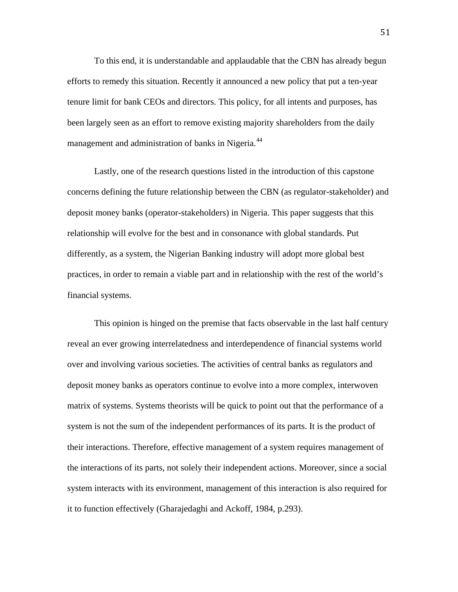To this end, it is understandable and applaudable that the CBN has already begun efforts to remedy this situation. Recently it announced a new policy that put a ten-year tenure limit for bank CEOs and directors. This policy, for all intents and purposes, has been largely seen as an effort to remove existing majority shareholders from the daily management and administration of banks in Nigeria.<sup>[44](#page-65-2)</sup>

Lastly, one of the research questions listed in the introduction of this capstone concerns defining the future relationship between the CBN (as regulator-stakeholder) and deposit money banks (operator-stakeholders) in Nigeria. This paper suggests that this relationship will evolve for the best and in consonance with global standards. Put differently, as a system, the Nigerian Banking industry will adopt more global best practices, in order to remain a viable part and in relationship with the rest of the world's financial systems.

This opinion is hinged on the premise that facts observable in the last half century reveal an ever growing interrelatedness and interdependence of financial systems world over and involving various societies. The activities of central banks as regulators and deposit money banks as operators continue to evolve into a more complex, interwoven matrix of systems. Systems theorists will be quick to point out that the performance of a system is not the sum of the independent performances of its parts. It is the product of their interactions. Therefore, effective management of a system requires management of the interactions of its parts, not solely their independent actions. Moreover, since a social system interacts with its environment, management of this interaction is also required for it to function effectively (Gharajedaghi and Ackoff, 1984, p.293).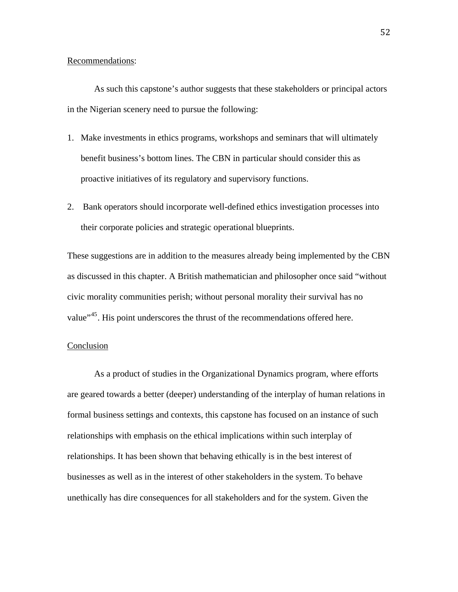# Recommendations:

As such this capstone's author suggests that these stakeholders or principal actors in the Nigerian scenery need to pursue the following:

- 1. Make investments in ethics programs, workshops and seminars that will ultimately benefit business's bottom lines. The CBN in particular should consider this as proactive initiatives of its regulatory and supervisory functions.
- 2. Bank operators should incorporate well-defined ethics investigation processes into their corporate policies and strategic operational blueprints.

These suggestions are in addition to the measures already being implemented by the CBN as discussed in this chapter. A British mathematician and philosopher once said "without civic morality communities perish; without personal morality their survival has no value"<sup>[45](#page-65-3)</sup>. His point underscores the thrust of the recommendations offered here.

# Conclusion

As a product of studies in the Organizational Dynamics program, where efforts are geared towards a better (deeper) understanding of the interplay of human relations in formal business settings and contexts, this capstone has focused on an instance of such relationships with emphasis on the ethical implications within such interplay of relationships. It has been shown that behaving ethically is in the best interest of businesses as well as in the interest of other stakeholders in the system. To behave unethically has dire consequences for all stakeholders and for the system. Given the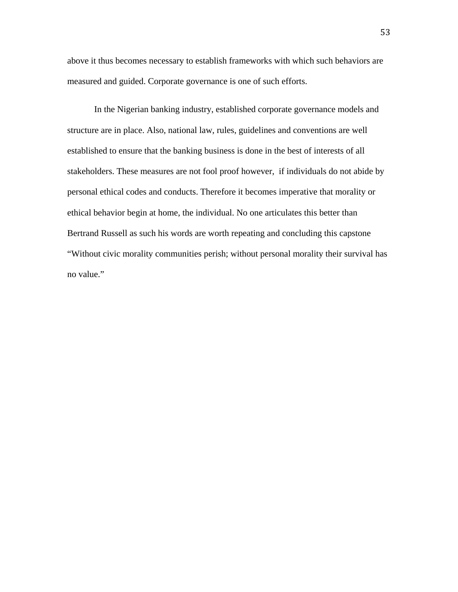above it thus becomes necessary to establish frameworks with which such behaviors are measured and guided. Corporate governance is one of such efforts.

In the Nigerian banking industry, established corporate governance models and structure are in place. Also, national law, rules, guidelines and conventions are well established to ensure that the banking business is done in the best of interests of all stakeholders. These measures are not fool proof however, if individuals do not abide by personal ethical codes and conducts. Therefore it becomes imperative that morality or ethical behavior begin at home, the individual. No one articulates this better than Bertrand Russell as such his words are worth repeating and concluding this capstone "Without civic morality communities perish; without personal morality their survival has no value."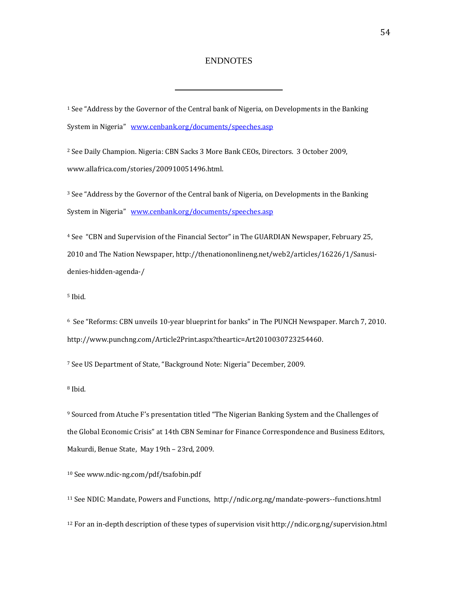#### ENDNOTES

1 See "Address by the Governor of the Central bank of Nigeria, on Developments in the Banking System in Nigeria" [www.cenbank.org/documents/speeches.asp](http://www.cenbank.org/documents/speeches.asp)

2 See Daily Champion. Nigeria: CBN Sacks 3 More Bank CEOs, Directors. 3 October 2009, www.allafrica.com/stories/200910051496.html.

3 See "Address by t[he Governor of the Central bank of Nigeria, on D](http://www.cenbank.org/documents/speeches.asp)evelopments in the Banking System in Nigeria" www.cenbank.org/documents/speeches.asp

4 See "CBN and Supervision of the Financial Sector" in The GUARDIAN Newspaper, February 25, 2010 and The Nation Newspaper, http://thenationonlineng.net/web2/articles/16226/1/Sanusi‐ denies‐hidden‐agenda‐/

5 Ibid.

6 See "Reforms: CBN unveils 10‐year blueprint for banks" in The PUNCH Newspaper. March 7, 2010. http://www.punchng.com/Article2Print.aspx?theartic=Art2010030723254460.

7 See US Department of State, "Background Note: Nigeria" December, 2009.

8 Ibid.

9 Sourced from Atuche F's presentation titled "The Nigerian Banking System and the Challenges of the Global Economic Crisis" at 14th CBN Seminar for Finance Correspondence and Business Editors, Makurdi, Benue State, May 19th – 23rd, 2009.

10 See www.ndic‐ng.com/pdf/tsafobin.pdf

11 See NDIC: Mandate, Powers and Functions, http://ndic.org.ng/mandate‐powers‐‐functions.html

12 For an in‐depth description of these types of supervision visit http://ndic.org.ng/supervision.html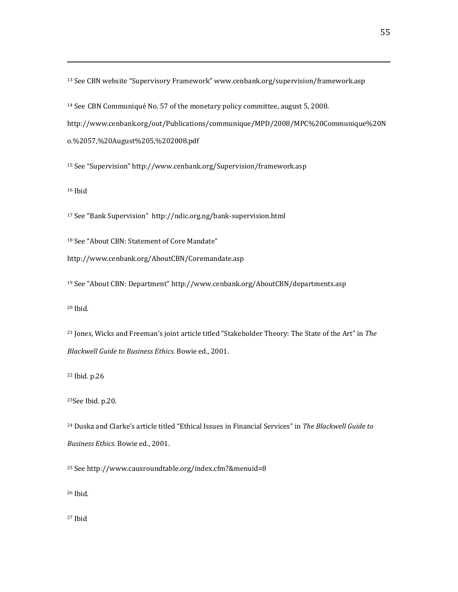13 See CBN website "Supervisory Framework" www.cenbank.org/supervision/framework.asp

14 See CBN Communiqué No. 57 of the monetary policy committee, august 5, 2008.

http://www.cenbank.org/out/Publications/communique/MPD/2008/MPC%20Communique%20N

<u> 2002 - Andrea San Andrea San Andrea San Andrea San Andrea San Andrea San Andrea San Andrea San Andrea San An</u>

o.%2057,%20August%205,%202008.pdf

15 See "Supervision" http://www.cenbank.org/Supervision/framework.asp

16 Ibid

17 See "Bank Supervision" http://ndic.org.ng/bank‐supervision.html

18 See "About CBN: Statement of Core Mandate"

http://www.cenbank.org/AboutCBN/Coremandate.asp

19 See "About CBN: Department" http://www.cenbank.org/AboutCBN/departments.asp

20 Ibid.

21 Jones, Wicks and Freeman's joint article titled "Stakeholder Theory: The State of the Art" in *The Blackwell Guide to Business Ethics*. Bowie ed., 2001.

22 Ibid. p.26

23See Ibid. p.20.

24 Duska and Clarke's article titled "Ethical Issues in Financial Services" in *The Blackwell Guide to Business Ethics*. Bowie ed., 2001.

<span id="page-63-0"></span>25 See http://www.cauxroundtable.org/index.cfm?&menuid=8

<span id="page-63-1"></span>26 Ibid.

<span id="page-63-2"></span>27 Ibid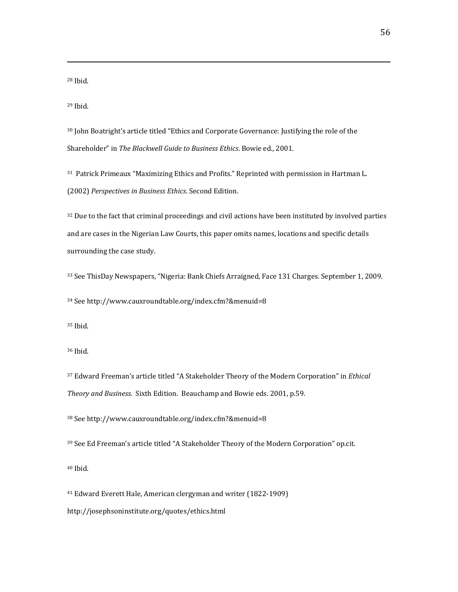<span id="page-64-0"></span>28 Ibid.

<span id="page-64-1"></span>29 Ibid.

<span id="page-64-2"></span>30 John Boatright's article titled "Ethics and Corporate Governance: Justifying the role of the Shareholder" in *The Blackwell Guide to Business Ethics*. Bowie ed., 2001.

<u> 2002 - Andrea San Andrea San Andrea San Andrea San Andrea San Andrea San Andrea San Andrea San Andrea San An</u>

<span id="page-64-3"></span>31 Patrick Primeaux "Maximizing Ethics and Profits." Reprinted with permission in Hartman L. (2002) *Perspectives in Business Ethics*. Second Edition.

<span id="page-64-4"></span><sup>32</sup> Due to the fact that criminal proceedings and civil actions have been instituted by involved parties and are cases in the Nigerian Law Courts, this paper omits names, locations and specific details surrounding the case study.

<span id="page-64-5"></span>33 See ThisDay Newspapers, "Nigeria: Bank Chiefs Arraigned, Face 131 Charges. September 1, 2009.

<span id="page-64-6"></span>34 See http://www.cauxroundtable.org/index.cfm?&menuid=8

<span id="page-64-7"></span>35 Ibid.

<span id="page-64-8"></span>36 Ibid.

<span id="page-64-9"></span>37 Edward Freeman's article titled "A Stakeholder Theory of the Modern Corporation" in *Ethical Theory and Business*. Sixth Edition. Beauchamp and Bowie eds. 2001, p.59.

<span id="page-64-10"></span>38 See http://www.cauxroundtable.org/index.cfm?&menuid=8

<span id="page-64-11"></span>39 See Ed Freeman's article titled "A Stakeholder Theory of the Modern Corporation" op.cit.

<span id="page-64-12"></span>40 Ibid.

<span id="page-64-13"></span>41 Edward Everett Hale, American clergyman and writer (1822‐1909) http://josephsoninstitute.org/quotes/ethics.html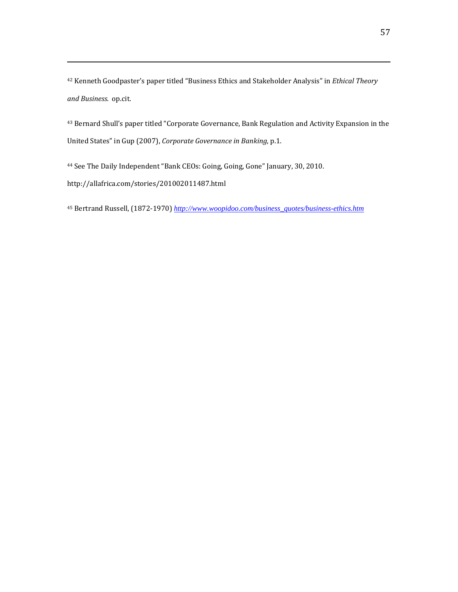<span id="page-65-0"></span>42 Kenneth Goodpaster's paper titled "Business Ethics and Stakeholder Analysis" in *Ethical Theory and Business*. op.cit.

<u> 2002 - Andrea San Andrea San Andrea San Andrea San Andrea San Andrea San Andrea San Andrea San Andrea San An</u>

<span id="page-65-1"></span>43 Bernard Shull's paper titled "Corporate Governance, Bank Regulation and Activity Expansion in the United States" in Gup (2007), *Corporate Governance in Banking*, p.1.

<span id="page-65-2"></span>44 See The Daily Independent "Bank CEOs: Going, Going, Gone" January, 30, 2010. http://allafrica.com/stories/201002011487.html

<span id="page-65-3"></span>45 Bertrand Russell, (1872‐1970) *[http://www.woopidoo.com/business\\_quotes/business-ethics.htm](http://www.woopidoo.com/business_quotes/business-ethics.htm)*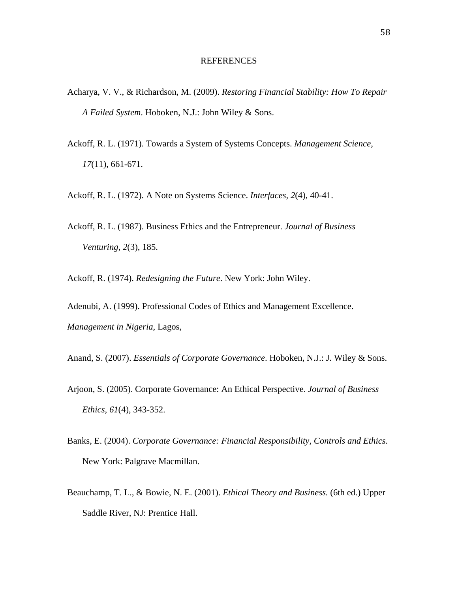#### REFERENCES

- Acharya, V. V., & Richardson, M. (2009). *Restoring Financial Stability: How To Repair A Failed System*. Hoboken, N.J.: John Wiley & Sons.
- Ackoff, R. L. (1971). Towards a System of Systems Concepts. *Management Science, 17*(11), 661-671.
- Ackoff, R. L. (1972). A Note on Systems Science. *Interfaces, 2*(4), 40-41.
- Ackoff, R. L. (1987). Business Ethics and the Entrepreneur. *Journal of Business Venturing, 2*(3), 185.
- Ackoff, R. (1974). *Redesigning the Future*. New York: John Wiley.
- Adenubi, A. (1999). Professional Codes of Ethics and Management Excellence. *Management in Nigeria*, Lagos,
- Anand, S. (2007). *Essentials of Corporate Governance*. Hoboken, N.J.: J. Wiley & Sons.
- Arjoon, S. (2005). Corporate Governance: An Ethical Perspective. *Journal of Business Ethics, 61*(4), 343-352.
- Banks, E. (2004). *Corporate Governance: Financial Responsibility, Controls and Ethics*. New York: Palgrave Macmillan.
- Beauchamp, T. L., & Bowie, N. E. (2001). *Ethical Theory and Business.* (6th ed.) Upper Saddle River, NJ: Prentice Hall.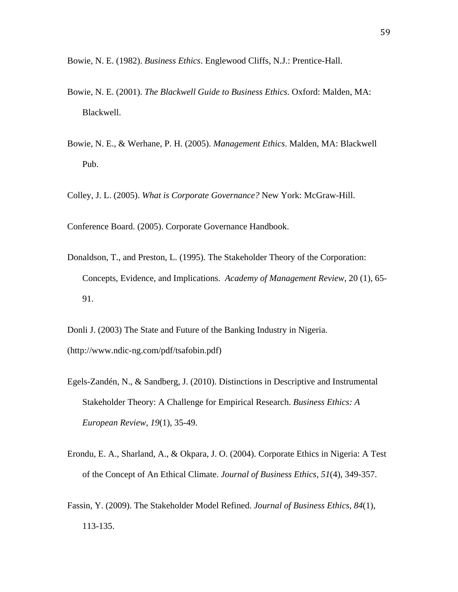Bowie, N. E. (1982). *Business Ethics*. Englewood Cliffs, N.J.: Prentice-Hall.

- Bowie, N. E. (2001). *The Blackwell Guide to Business Ethics*. Oxford: Malden, MA: Blackwell.
- Bowie, N. E., & Werhane, P. H. (2005). *Management Ethics*. Malden, MA: Blackwell Pub.

Colley, J. L. (2005). *What is Corporate Governance?* New York: McGraw-Hill.

Conference Board. (2005). Corporate Governance Handbook.

Donaldson, T., and Preston, L. (1995). The Stakeholder Theory of the Corporation: Concepts, Evidence, and Implications. *Academy of Management Review*, 20 (1), 65- 91.

Donli J. (2003) The State and Future of the Banking Industry in Nigeria. (http://www.ndic-ng.com/pdf/tsafobin.pdf)

- Egels-Zandén, N., & Sandberg, J. (2010). Distinctions in Descriptive and Instrumental Stakeholder Theory: A Challenge for Empirical Research. *Business Ethics: A European Review, 19*(1), 35-49.
- Erondu, E. A., Sharland, A., & Okpara, J. O. (2004). Corporate Ethics in Nigeria: A Test of the Concept of An Ethical Climate. *Journal of Business Ethics, 51*(4), 349-357.
- Fassin, Y. (2009). The Stakeholder Model Refined. *Journal of Business Ethics, 84*(1), 113-135.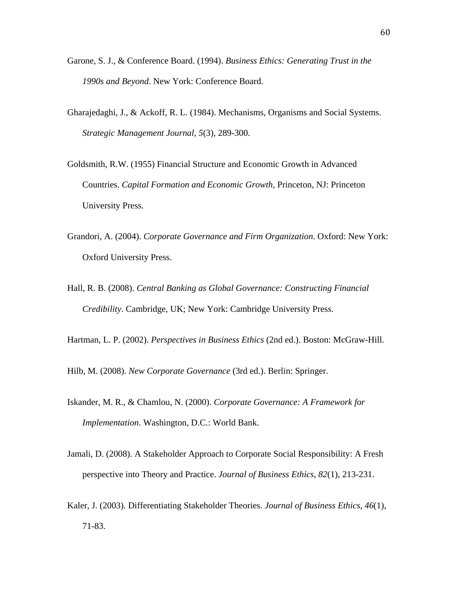- Garone, S. J., & Conference Board. (1994). *Business Ethics: Generating Trust in the 1990s and Beyond*. New York: Conference Board.
- Gharajedaghi, J., & Ackoff, R. L. (1984). Mechanisms, Organisms and Social Systems. *Strategic Management Journal, 5*(3), 289-300.
- Goldsmith, R.W. (1955) Financial Structure and Economic Growth in Advanced Countries. *Capital Formation and Economic Growth,* Princeton, NJ: Princeton University Press.
- Grandori, A. (2004). *Corporate Governance and Firm Organization*. Oxford: New York: Oxford University Press.
- Hall, R. B. (2008). *Central Banking as Global Governance: Constructing Financial Credibility*. Cambridge, UK; New York: Cambridge University Press.
- Hartman, L. P. (2002). *Perspectives in Business Ethics* (2nd ed.). Boston: McGraw-Hill.
- Hilb, M. (2008). *New Corporate Governance* (3rd ed.). Berlin: Springer.
- Iskander, M. R., & Chamlou, N. (2000). *Corporate Governance: A Framework for Implementation*. Washington, D.C.: World Bank.
- Jamali, D. (2008). A Stakeholder Approach to Corporate Social Responsibility: A Fresh perspective into Theory and Practice. *Journal of Business Ethics, 82*(1), 213-231.
- Kaler, J. (2003). Differentiating Stakeholder Theories. *Journal of Business Ethics, 46*(1), 71-83.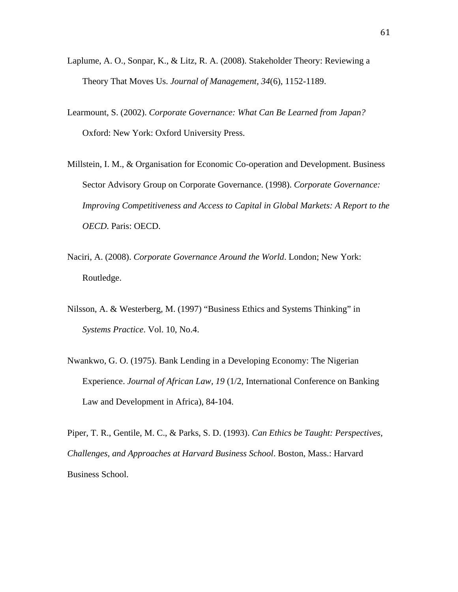- Laplume, A. O., Sonpar, K., & Litz, R. A. (2008). Stakeholder Theory: Reviewing a Theory That Moves Us. *Journal of Management, 34*(6), 1152-1189.
- Learmount, S. (2002). *Corporate Governance: What Can Be Learned from Japan?* Oxford: New York: Oxford University Press.
- Millstein, I. M., & Organisation for Economic Co-operation and Development. Business Sector Advisory Group on Corporate Governance. (1998). *Corporate Governance: Improving Competitiveness and Access to Capital in Global Markets: A Report to the OECD*. Paris: OECD.
- Naciri, A. (2008). *Corporate Governance Around the World*. London; New York: Routledge.
- Nilsson, A. & Westerberg, M. (1997) "Business Ethics and Systems Thinking" in *Systems Practice*. Vol. 10, No.4.
- Nwankwo, G. O. (1975). Bank Lending in a Developing Economy: The Nigerian Experience. *Journal of African Law, 19* (1/2, International Conference on Banking Law and Development in Africa), 84-104.

Piper, T. R., Gentile, M. C., & Parks, S. D. (1993). *Can Ethics be Taught: Perspectives, Challenges, and Approaches at Harvard Business School*. Boston, Mass.: Harvard Business School.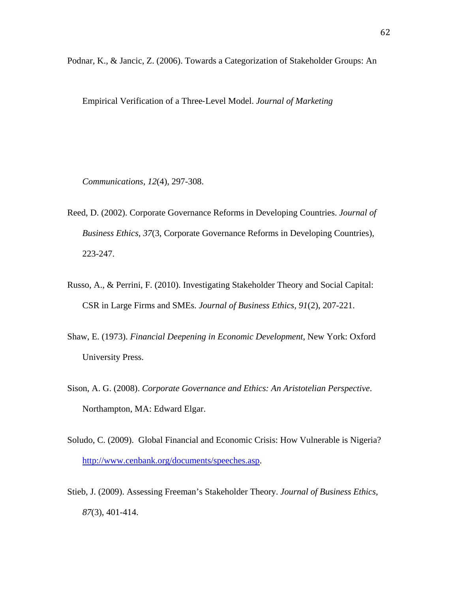Podnar, K., & Jancic, Z. (2006). Towards a Categorization of Stakeholder Groups: An

Empirical Verification of a Three‐Level Model. *Journal of Marketing* 

*Communications, 12*(4), 297-308.

- Reed, D. (2002). Corporate Governance Reforms in Developing Countries. *Journal of Business Ethics, 37*(3, Corporate Governance Reforms in Developing Countries), 223-247.
- Russo, A., & Perrini, F. (2010). Investigating Stakeholder Theory and Social Capital: CSR in Large Firms and SMEs. *Journal of Business Ethics, 91*(2), 207-221.
- Shaw, E. (1973). *Financial Deepening in Economic Development,* New York: Oxford University Press.
- Sison, A. G. (2008). *Corporate Governance and Ethics: An Aristotelian Perspective*. Northampton, MA: Edward Elgar.
- Soludo, C. (2009). Global Financial and Economic Crisis: How Vulnerable is Nigeria? <http://www.cenbank.org/documents/speeches.asp>.
- Stieb, J. (2009). Assessing Freeman's Stakeholder Theory. *Journal of Business Ethics, 87*(3), 401-414.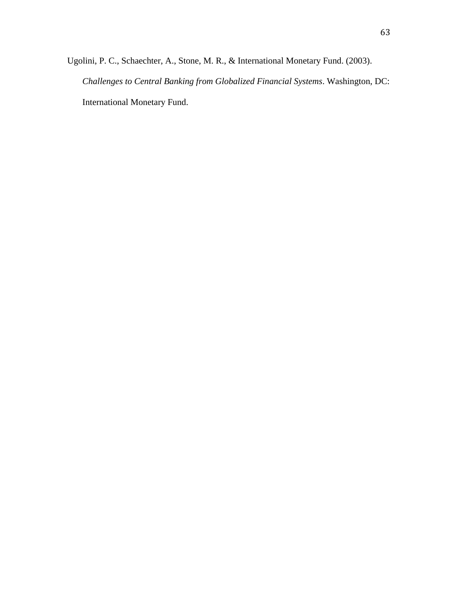Ugolini, P. C., Schaechter, A., Stone, M. R., & International Monetary Fund. (2003). *Challenges to Central Banking from Globalized Financial Systems*. Washington, DC: International Monetary Fund.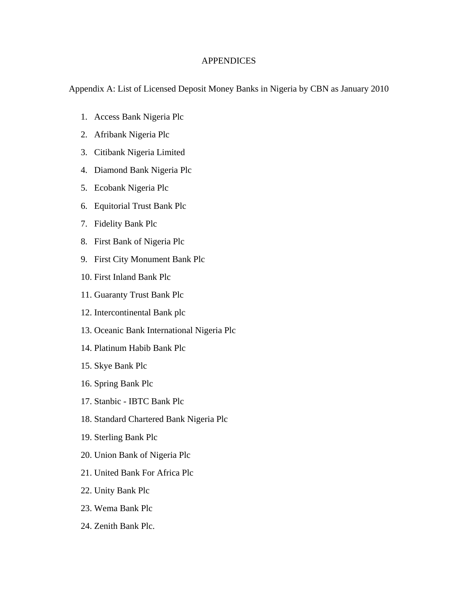## **APPENDICES**

Appendix A: List of Licensed Deposit Money Banks in Nigeria by CBN as January 2010

- 1. Access Bank Nigeria Plc
- 2. Afribank Nigeria Plc
- 3. Citibank Nigeria Limited
- 4. Diamond Bank Nigeria Plc
- 5. Ecobank Nigeria Plc
- 6. Equitorial Trust Bank Plc
- 7. Fidelity Bank Plc
- 8. First Bank of Nigeria Plc
- 9. First City Monument Bank Plc
- 10. First Inland Bank Plc
- 11. Guaranty Trust Bank Plc
- 12. Intercontinental Bank plc
- 13. Oceanic Bank International Nigeria Plc
- 14. Platinum Habib Bank Plc
- 15. Skye Bank Plc
- 16. Spring Bank Plc
- 17. Stanbic IBTC Bank Plc
- 18. Standard Chartered Bank Nigeria Plc
- 19. Sterling Bank Plc
- 20. Union Bank of Nigeria Plc
- 21. United Bank For Africa Plc
- 22. Unity Bank Plc
- 23. Wema Bank Plc
- 24. Zenith Bank Plc.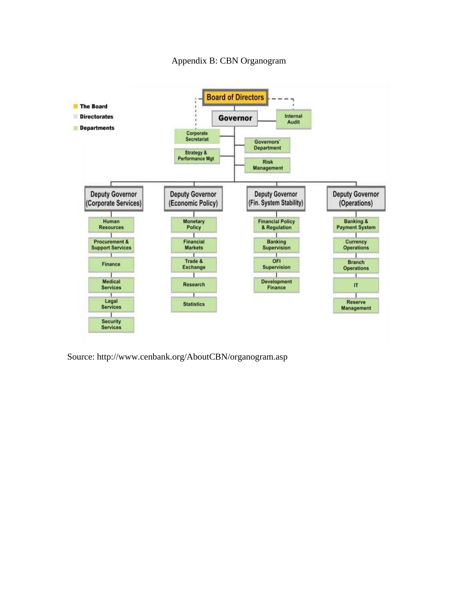



Source: http://www.cenbank.org/AboutCBN/organogram.asp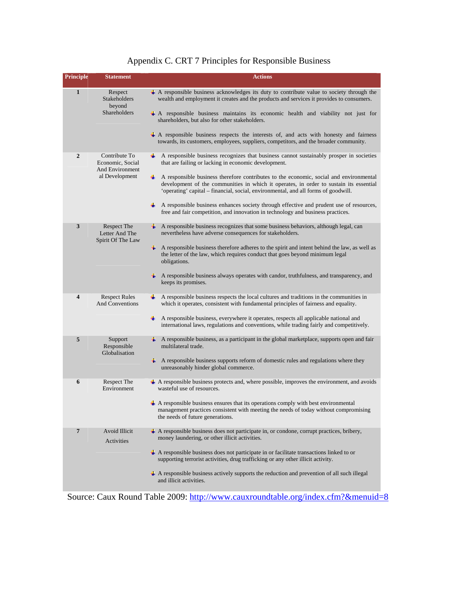## Appendix C. CRT 7 Principles for Responsible Business

| <b>Principle</b>        | <b>Statement</b>                                                              | <b>Actions</b>                                                                                                                                                                                                                                                                                                                                                                                                                                                                                                                                                                                                                |
|-------------------------|-------------------------------------------------------------------------------|-------------------------------------------------------------------------------------------------------------------------------------------------------------------------------------------------------------------------------------------------------------------------------------------------------------------------------------------------------------------------------------------------------------------------------------------------------------------------------------------------------------------------------------------------------------------------------------------------------------------------------|
| $\mathbf{1}$            | Respect<br><b>Stakeholders</b><br>beyond<br><b>Shareholders</b>               | $\overline{+}$ A responsible business acknowledges its duty to contribute value to society through the<br>wealth and employment it creates and the products and services it provides to consumers.<br>$\pm$ A responsible business maintains its economic health and viability not just for<br>shareholders, but also for other stakeholders.<br>$\#$ A responsible business respects the interests of, and acts with honesty and fairness<br>towards, its customers, employees, suppliers, competitors, and the broader community.                                                                                           |
| $\overline{2}$          | Contribute To<br>Economic, Social<br><b>And Environment</b><br>al Development | $\perp$ A responsible business recognizes that business cannot sustainably prosper in societies<br>that are failing or lacking in economic development.<br>A responsible business therefore contributes to the economic, social and environmental<br>÷.<br>development of the communities in which it operates, in order to sustain its essential<br>'operating' capital – financial, social, environmental, and all forms of goodwill.<br>$\perp$ A responsible business enhances society through effective and prudent use of resources,<br>free and fair competition, and innovation in technology and business practices. |
| 3                       | Respect The<br>Letter And The<br>Spirit Of The Law                            | $\perp$ A responsible business recognizes that some business behaviors, although legal, can<br>nevertheless have adverse consequences for stakeholders.<br>$\downarrow$ A responsible business therefore adheres to the spirit and intent behind the law, as well as<br>the letter of the law, which requires conduct that goes beyond minimum legal<br>obligations.<br>$\overline{\mathbf{A}}$ A responsible business always operates with candor, truthfulness, and transparency, and<br>keeps its promises.                                                                                                                |
| $\overline{\mathbf{4}}$ | <b>Respect Rules</b><br><b>And Conventions</b>                                | ÷<br>A responsible business respects the local cultures and traditions in the communities in<br>which it operates, consistent with fundamental principles of fairness and equality.<br>₩.<br>A responsible business, everywhere it operates, respects all applicable national and<br>international laws, regulations and conventions, while trading fairly and competitively.                                                                                                                                                                                                                                                 |
| 5                       | Support<br>Responsible<br>Globalisation                                       | $\perp$ A responsible business, as a participant in the global marketplace, supports open and fair<br>multilateral trade.<br>$\perp$ A responsible business supports reform of domestic rules and regulations where they<br>unreasonably hinder global commerce.                                                                                                                                                                                                                                                                                                                                                              |
| 6                       | Respect The<br>Environment                                                    | $\triangleq$ A responsible business protects and, where possible, improves the environment, and avoids<br>wasteful use of resources.<br>$\triangleq$ A responsible business ensures that its operations comply with best environmental<br>management practices consistent with meeting the needs of today without compromising<br>the needs of future generations.                                                                                                                                                                                                                                                            |
| $7\phantom{.0}$         | Avoid Illicit<br>Activities                                                   | $\#$ A responsible business does not participate in, or condone, corrupt practices, bribery,<br>money laundering, or other illicit activities.<br>$\perp$ A responsible business does not participate in or facilitate transactions linked to or<br>supporting terrorist activities, drug trafficking or any other illicit activity.<br>+ A responsible business actively supports the reduction and prevention of all such illegal<br>and illicit activities.<br>0000                                                                                                                                                        |

Source: Caux Round Table 2009: <http://www.cauxroundtable.org/index.cfm?&menuid=8>